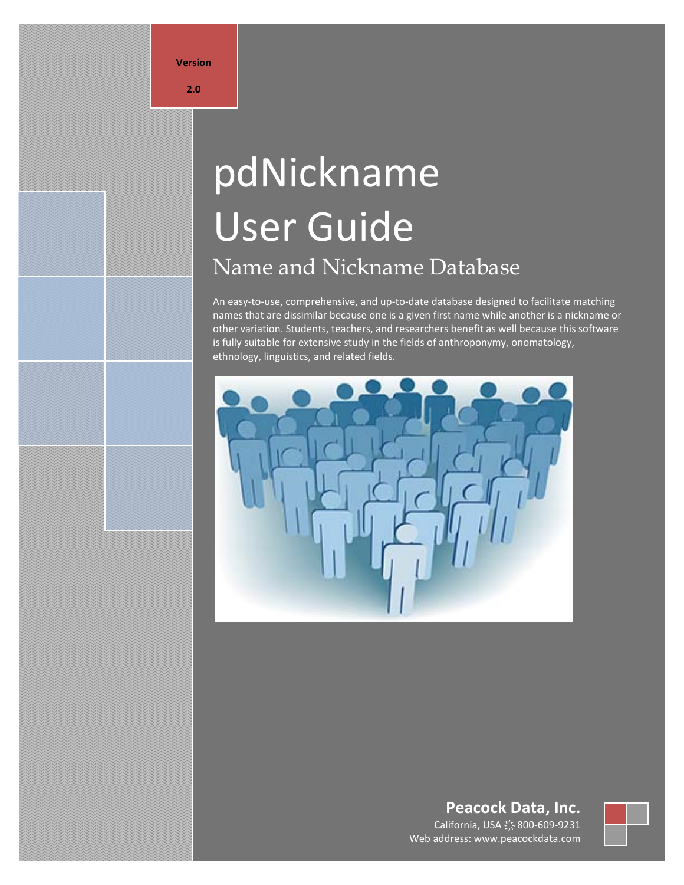**Version**

#### **2.0**

# pdNickname User Guide Name and Nickname Database

An easy-to-use, comprehensive, and up-to-date database designed to facilitate matching names that are dissimilar because one is a given first name while another is a nickname or other variation. Students, teachers, and researchers benefit as well because this software is fully suitable for extensive study in the fields of anthroponymy, onomatology, ethnology, linguistics, and related fields.



# **Peacock Data, Inc.**

California, USA **҉** 800-609-9231 Web address: www.peacockdata.com

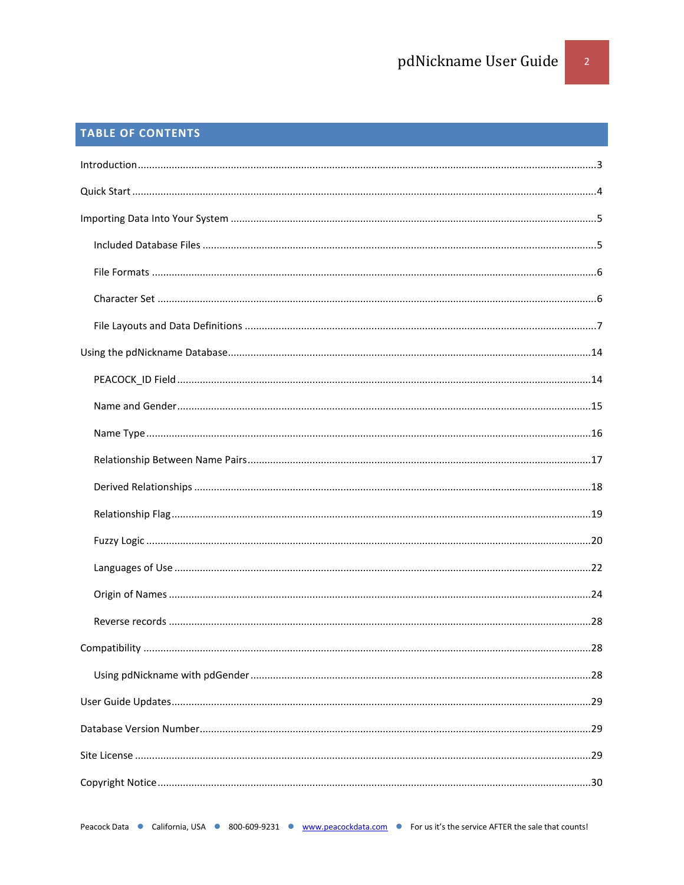# TABLE OF CONTENTS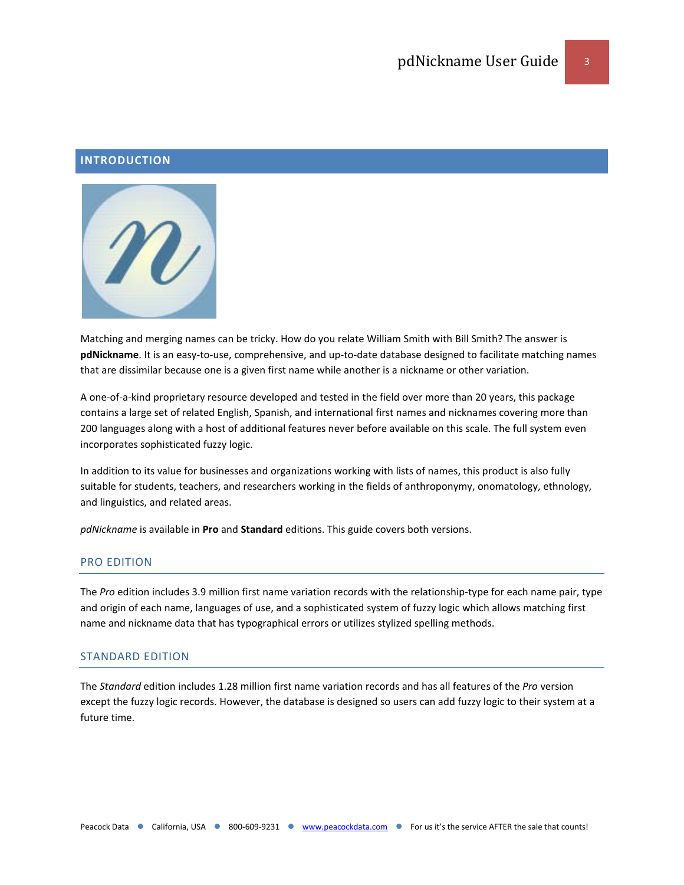# <span id="page-2-0"></span>**INTRODUCTION**



Matching and merging names can be tricky. How do you relate William Smith with Bill Smith? The answer is **pdNickname**. It is an easy-to-use, comprehensive, and up-to-date database designed to facilitate matching names that are dissimilar because one is a given first name while another is a nickname or other variation.

A one-of-a-kind proprietary resource developed and tested in the field over more than 20 years, this package contains a large set of related English, Spanish, and international first names and nicknames covering more than 200 languages along with a host of additional features never before available on this scale. The full system even incorporates sophisticated fuzzy logic.

In addition to its value for businesses and organizations working with lists of names, this product is also fully suitable for students, teachers, and researchers working in the fields of anthroponymy, onomatology, ethnology, and linguistics, and related areas.

*pdNickname* is available in **Pro** and **Standard** editions. This guide covers both versions.

#### PRO EDITION

The *Pro* edition includes 3.9 million first name variation records with the relationship-type for each name pair, type and origin of each name, languages of use, and a sophisticated system of fuzzy logic which allows matching first name and nickname data that has typographical errors or utilizes stylized spelling methods.

#### STANDARD EDITION

The *Standard* edition includes 1.28 million first name variation records and has all features of the *Pro* version except the fuzzy logic records. However, the database is designed so users can add fuzzy logic to their system at a future time.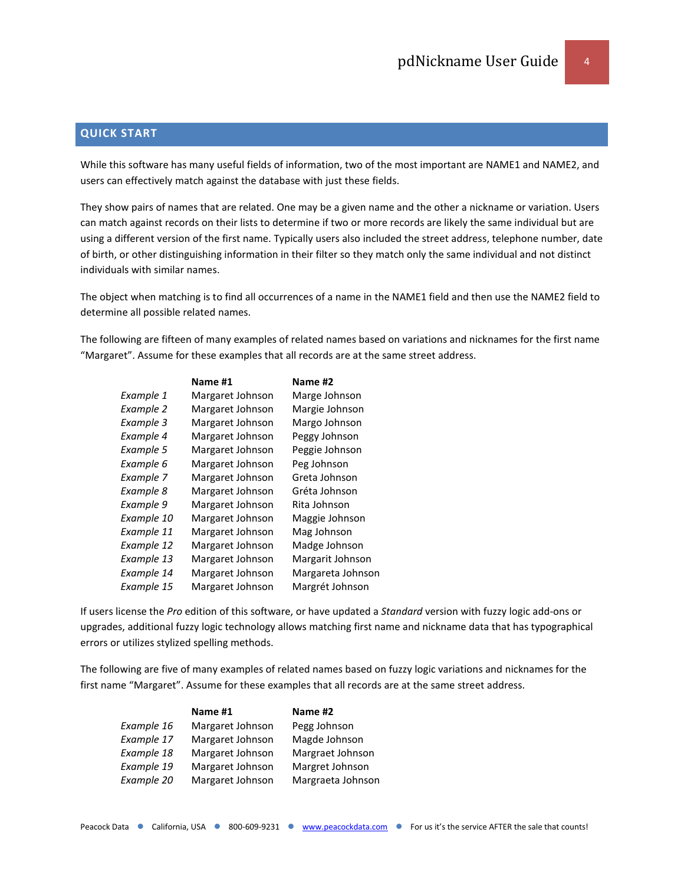# <span id="page-3-0"></span>**QUICK START**

While this software has many useful fields of information, two of the most important are NAME1 and NAME2, and users can effectively match against the database with just these fields.

They show pairs of names that are related. One may be a given name and the other a nickname or variation. Users can match against records on their lists to determine if two or more records are likely the same individual but are using a different version of the first name. Typically users also included the street address, telephone number, date of birth, or other distinguishing information in their filter so they match only the same individual and not distinct individuals with similar names.

The object when matching is to find all occurrences of a name in the NAME1 field and then use the NAME2 field to determine all possible related names.

The following are fifteen of many examples of related names based on variations and nicknames for the first name "Margaret". Assume for these examples that all records are at the same street address.

|            | Name #1          | Name #2           |
|------------|------------------|-------------------|
| Example 1  | Margaret Johnson | Marge Johnson     |
| Example 2  | Margaret Johnson | Margie Johnson    |
| Example 3  | Margaret Johnson | Margo Johnson     |
| Example 4  | Margaret Johnson | Peggy Johnson     |
| Example 5  | Margaret Johnson | Peggie Johnson    |
| Example 6  | Margaret Johnson | Peg Johnson       |
| Example 7  | Margaret Johnson | Greta Johnson     |
| Example 8  | Margaret Johnson | Gréta Johnson     |
| Example 9  | Margaret Johnson | Rita Johnson      |
| Example 10 | Margaret Johnson | Maggie Johnson    |
| Example 11 | Margaret Johnson | Mag Johnson       |
| Example 12 | Margaret Johnson | Madge Johnson     |
| Example 13 | Margaret Johnson | Margarit Johnson  |
| Example 14 | Margaret Johnson | Margareta Johnson |
| Example 15 | Margaret Johnson | Margrét Johnson   |

If users license the *Pro* edition of this software, or have updated a *Standard* version with fuzzy logic add-ons or upgrades, additional fuzzy logic technology allows matching first name and nickname data that has typographical errors or utilizes stylized spelling methods.

The following are five of many examples of related names based on fuzzy logic variations and nicknames for the first name "Margaret". Assume for these examples that all records are at the same street address.

|            | Name #1          | Name #2           |
|------------|------------------|-------------------|
| Example 16 | Margaret Johnson | Pegg Johnson      |
| Example 17 | Margaret Johnson | Magde Johnson     |
| Example 18 | Margaret Johnson | Margraet Johnson  |
| Example 19 | Margaret Johnson | Margret Johnson   |
| Example 20 | Margaret Johnson | Margraeta Johnson |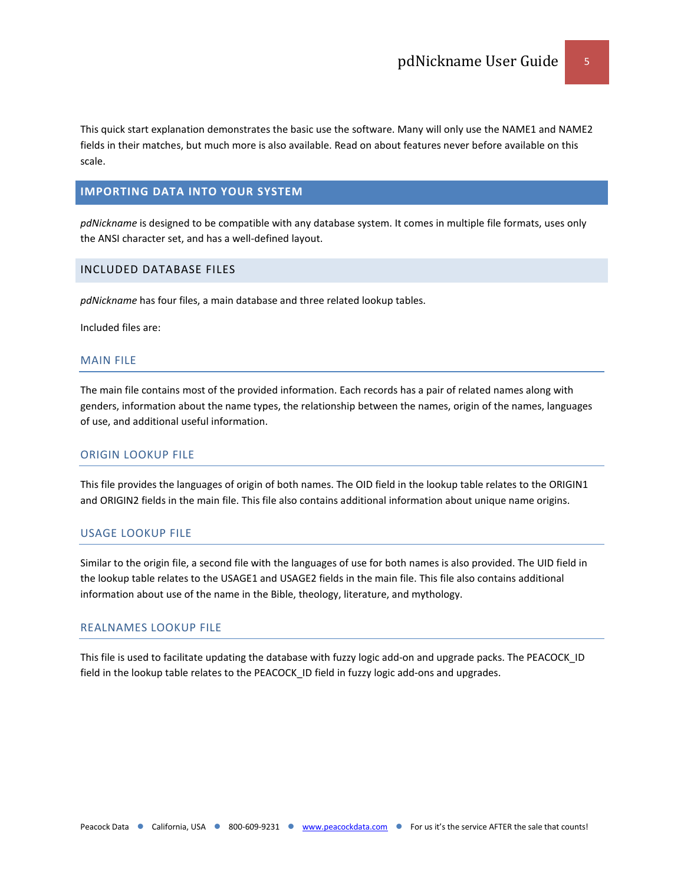This quick start explanation demonstrates the basic use the software. Many will only use the NAME1 and NAME2 fields in their matches, but much more is also available. Read on about features never before available on this scale.

# <span id="page-4-0"></span>**IMPORTING DATA INTO YOUR SYSTEM**

*pdNickname* is designed to be compatible with any database system. It comes in multiple file formats, uses only the ANSI character set, and has a well-defined layout.

## <span id="page-4-1"></span>INCLUDED DATABASE FILES

*pdNickname* has four files, a main database and three related lookup tables.

Included files are:

#### MAIN FILE

The main file contains most of the provided information. Each records has a pair of related names along with genders, information about the name types, the relationship between the names, origin of the names, languages of use, and additional useful information.

# ORIGIN LOOKUP FILE

This file provides the languages of origin of both names. The OID field in the lookup table relates to the ORIGIN1 and ORIGIN2 fields in the main file. This file also contains additional information about unique name origins.

#### USAGE LOOKUP FILE

Similar to the origin file, a second file with the languages of use for both names is also provided. The UID field in the lookup table relates to the USAGE1 and USAGE2 fields in the main file. This file also contains additional information about use of the name in the Bible, theology, literature, and mythology.

# REALNAMES LOOKUP FILE

This file is used to facilitate updating the database with fuzzy logic add-on and upgrade packs. The PEACOCK\_ID field in the lookup table relates to the PEACOCK ID field in fuzzy logic add-ons and upgrades.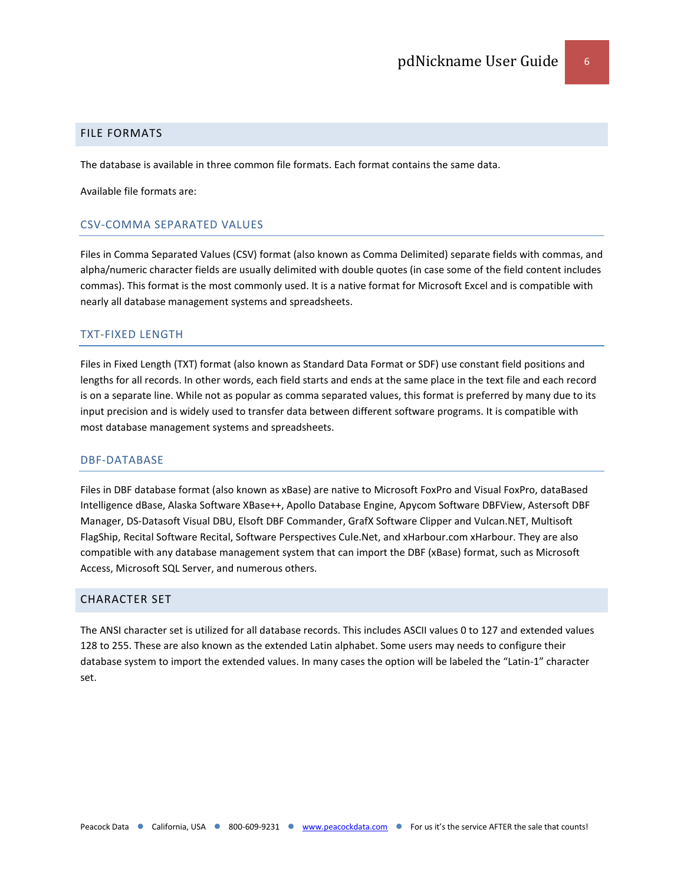#### <span id="page-5-0"></span>FILE FORMATS

The database is available in three common file formats. Each format contains the same data.

Available file formats are:

# CSV-COMMA SEPARATED VALUES

Files in Comma Separated Values (CSV) format (also known as Comma Delimited) separate fields with commas, and alpha/numeric character fields are usually delimited with double quotes (in case some of the field content includes commas). This format is the most commonly used. It is a native format for Microsoft Excel and is compatible with nearly all database management systems and spreadsheets.

# TXT-FIXED LENGTH

Files in Fixed Length (TXT) format (also known as Standard Data Format or SDF) use constant field positions and lengths for all records. In other words, each field starts and ends at the same place in the text file and each record is on a separate line. While not as popular as comma separated values, this format is preferred by many due to its input precision and is widely used to transfer data between different software programs. It is compatible with most database management systems and spreadsheets.

#### DBF-DATABASE

Files in DBF database format (also known as xBase) are native to Microsoft FoxPro and Visual FoxPro, dataBased Intelligence dBase, Alaska Software XBase++, Apollo Database Engine, Apycom Software DBFView, Astersoft DBF Manager, DS-Datasoft Visual DBU, Elsoft DBF Commander, GrafX Software Clipper and Vulcan.NET, Multisoft FlagShip, Recital Software Recital, Software Perspectives Cule.Net, and xHarbour.com xHarbour. They are also compatible with any database management system that can import the DBF (xBase) format, such as Microsoft Access, Microsoft SQL Server, and numerous others.

#### <span id="page-5-1"></span>CHARACTER SET

The ANSI character set is utilized for all database records. This includes ASCII values 0 to 127 and extended values 128 to 255. These are also known as the extended Latin alphabet. Some users may needs to configure their database system to import the extended values. In many cases the option will be labeled the "Latin-1" character set.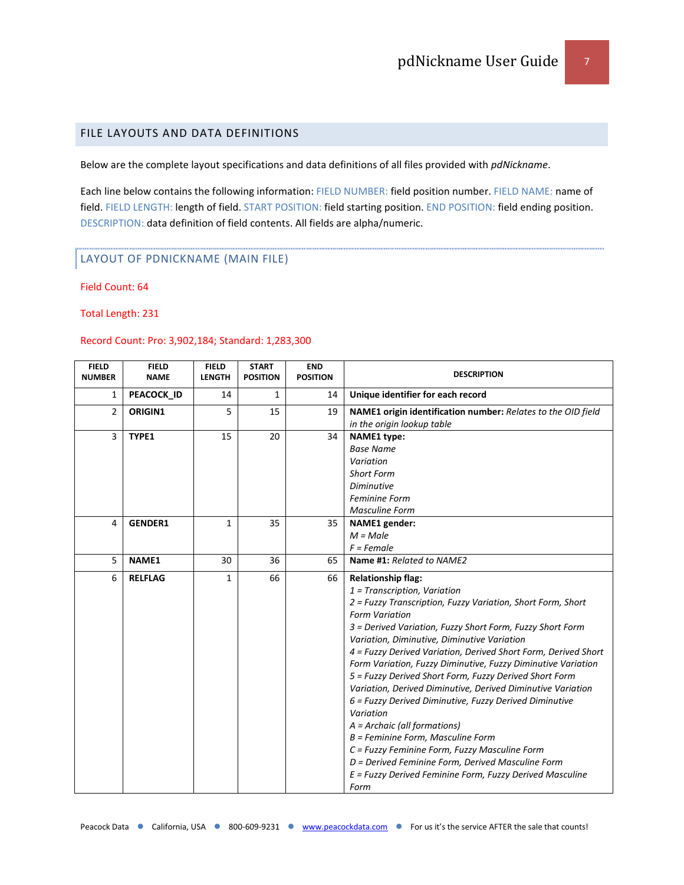# <span id="page-6-0"></span>FILE LAYOUTS AND DATA DEFINITIONS

Below are the complete layout specifications and data definitions of all files provided with *pdNickname*.

Each line below contains the following information: FIELD NUMBER: field position number. FIELD NAME: name of field. FIELD LENGTH: length of field. START POSITION: field starting position. END POSITION: field ending position. DESCRIPTION: data definition of field contents. All fields are alpha/numeric.

#### LAYOUT OF PDNICKNAME (MAIN FILE)

Field Count: 64

Total Length: 231

#### Record Count: Pro: 3,902,184; Standard: 1,283,300

| <b>FIELD</b><br><b>NUMBER</b> | <b>FIELD</b><br><b>NAME</b> | <b>FIELD</b><br><b>LENGTH</b> | <b>START</b><br><b>POSITION</b> | <b>END</b><br><b>POSITION</b> | <b>DESCRIPTION</b>                                             |
|-------------------------------|-----------------------------|-------------------------------|---------------------------------|-------------------------------|----------------------------------------------------------------|
| 1                             | PEACOCK_ID                  | 14                            | 1                               | 14                            | Unique identifier for each record                              |
| $\overline{2}$                | ORIGIN1                     | 5                             | 15                              | 19                            | NAME1 origin identification number: Relates to the OID field   |
|                               |                             |                               |                                 |                               | in the origin lookup table                                     |
| 3                             | TYPE1                       | 15                            | 20                              | 34                            | NAME1 type:                                                    |
|                               |                             |                               |                                 |                               | <b>Base Name</b>                                               |
|                               |                             |                               |                                 |                               | Variation                                                      |
|                               |                             |                               |                                 |                               | <b>Short Form</b>                                              |
|                               |                             |                               |                                 |                               | <b>Diminutive</b>                                              |
|                               |                             |                               |                                 |                               | <b>Feminine Form</b>                                           |
|                               |                             |                               |                                 |                               | <b>Masculine Form</b>                                          |
| 4                             | <b>GENDER1</b>              | $\mathbf{1}$                  | 35                              | 35                            | <b>NAME1</b> gender:                                           |
|                               |                             |                               |                                 |                               | $M = Male$                                                     |
|                               |                             |                               |                                 |                               | $F = Female$                                                   |
| 5                             | NAME1                       | 30                            | 36                              | 65                            | Name #1: Related to NAME2                                      |
| 6                             | <b>RELFLAG</b>              | $\mathbf{1}$                  | 66                              | 66                            | <b>Relationship flag:</b>                                      |
|                               |                             |                               |                                 |                               | $1$ = Transcription, Variation                                 |
|                               |                             |                               |                                 |                               | 2 = Fuzzy Transcription, Fuzzy Variation, Short Form, Short    |
|                               |                             |                               |                                 |                               | <b>Form Variation</b>                                          |
|                               |                             |                               |                                 |                               | 3 = Derived Variation, Fuzzy Short Form, Fuzzy Short Form      |
|                               |                             |                               |                                 |                               | Variation, Diminutive, Diminutive Variation                    |
|                               |                             |                               |                                 |                               | 4 = Fuzzy Derived Variation, Derived Short Form, Derived Short |
|                               |                             |                               |                                 |                               | Form Variation, Fuzzy Diminutive, Fuzzy Diminutive Variation   |
|                               |                             |                               |                                 |                               | 5 = Fuzzy Derived Short Form, Fuzzy Derived Short Form         |
|                               |                             |                               |                                 |                               | Variation, Derived Diminutive, Derived Diminutive Variation    |
|                               |                             |                               |                                 |                               | 6 = Fuzzy Derived Diminutive, Fuzzy Derived Diminutive         |
|                               |                             |                               |                                 |                               | Variation                                                      |
|                               |                             |                               |                                 |                               | A = Archaic (all formations)                                   |
|                               |                             |                               |                                 |                               | B = Feminine Form, Masculine Form                              |
|                               |                             |                               |                                 |                               | C = Fuzzy Feminine Form, Fuzzy Masculine Form                  |
|                               |                             |                               |                                 |                               | D = Derived Feminine Form, Derived Masculine Form              |
|                               |                             |                               |                                 |                               | E = Fuzzy Derived Feminine Form, Fuzzy Derived Masculine       |
|                               |                             |                               |                                 |                               | Form                                                           |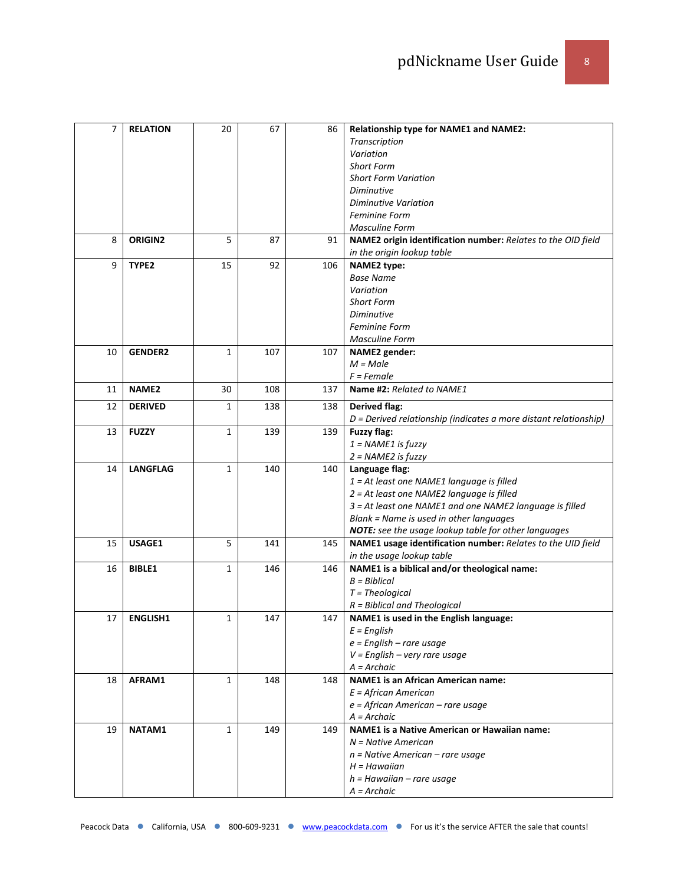| 7  | <b>RELATION</b>   | 20           | 67  | 86  | Relationship type for NAME1 and NAME2:                           |
|----|-------------------|--------------|-----|-----|------------------------------------------------------------------|
|    |                   |              |     |     | Transcription                                                    |
|    |                   |              |     |     | Variation                                                        |
|    |                   |              |     |     | <b>Short Form</b>                                                |
|    |                   |              |     |     | <b>Short Form Variation</b>                                      |
|    |                   |              |     |     | <b>Diminutive</b>                                                |
|    |                   |              |     |     | Diminutive Variation                                             |
|    |                   |              |     |     |                                                                  |
|    |                   |              |     |     | <b>Feminine Form</b>                                             |
|    |                   |              |     |     | <b>Masculine Form</b>                                            |
| 8  | ORIGIN2           | 5            | 87  | 91  | NAME2 origin identification number: Relates to the OID field     |
|    |                   |              |     |     | in the origin lookup table                                       |
| 9  | TYPE <sub>2</sub> | 15           | 92  | 106 | <b>NAME2 type:</b>                                               |
|    |                   |              |     |     | <b>Base Name</b>                                                 |
|    |                   |              |     |     | Variation                                                        |
|    |                   |              |     |     | <b>Short Form</b>                                                |
|    |                   |              |     |     | Diminutive                                                       |
|    |                   |              |     |     | <b>Feminine Form</b>                                             |
|    |                   |              |     |     | <b>Masculine Form</b>                                            |
| 10 | <b>GENDER2</b>    | $\mathbf{1}$ | 107 | 107 | <b>NAME2</b> gender:                                             |
|    |                   |              |     |     | $M = Male$                                                       |
|    |                   |              |     |     | $F = Female$                                                     |
| 11 | NAME <sub>2</sub> | 30           | 108 | 137 | Name #2: Related to NAME1                                        |
| 12 | <b>DERIVED</b>    | 1            | 138 | 138 | <b>Derived flag:</b>                                             |
|    |                   |              |     |     | D = Derived relationship (indicates a more distant relationship) |
| 13 | <b>FUZZY</b>      | $\mathbf{1}$ | 139 | 139 | <b>Fuzzy flag:</b>                                               |
|    |                   |              |     |     |                                                                  |
|    |                   |              |     |     | $1 = NAME1$ is fuzzy                                             |
|    |                   |              |     |     | 2 = NAME2 is fuzzy                                               |
| 14 | <b>LANGFLAG</b>   | $\mathbf{1}$ | 140 | 140 | Language flag:                                                   |
|    |                   |              |     |     | 1 = At least one NAME1 language is filled                        |
|    |                   |              |     |     | 2 = At least one NAME2 language is filled                        |
|    |                   |              |     |     | 3 = At least one NAME1 and one NAME2 language is filled          |
|    |                   |              |     |     | Blank = Name is used in other languages                          |
|    |                   |              |     |     | NOTE: see the usage lookup table for other languages             |
| 15 | USAGE1            | 5            | 141 | 145 | NAME1 usage identification number: Relates to the UID field      |
|    |                   |              |     |     | in the usage lookup table                                        |
| 16 | <b>BIBLE1</b>     | 1            | 146 | 146 | NAME1 is a biblical and/or theological name:                     |
|    |                   |              |     |     | $B = Biblical$                                                   |
|    |                   |              |     |     | $T = Theological$                                                |
|    |                   |              |     |     | $R = Biblical$ and Theological                                   |
| 17 | <b>ENGLISH1</b>   | 1            | 147 | 147 | NAME1 is used in the English language:                           |
|    |                   |              |     |     | $E =$ English                                                    |
|    |                   |              |     |     | $e$ = English – rare usage                                       |
|    |                   |              |     |     | $V =$ English – very rare usage                                  |
|    |                   |              |     |     | $A = Archaic$                                                    |
| 18 | AFRAM1            | 1            | 148 | 148 | <b>NAME1</b> is an African American name:                        |
|    |                   |              |     |     | $E =$ African American                                           |
|    |                   |              |     |     |                                                                  |
|    |                   |              |     |     | $e =$ African American – rare usage                              |
|    |                   |              |     |     | $A = Archaic$                                                    |
| 19 | NATAM1            | 1            | 149 | 149 | <b>NAME1</b> is a Native American or Hawaiian name:              |
|    |                   |              |     |     | $N =$ Native American                                            |
|    |                   |              |     |     | $n =$ Native American – rare usage                               |
|    |                   |              |     |     | $H =$ Hawaiian                                                   |
|    |                   |              |     |     | $h =$ Hawaiian – rare usage                                      |
|    |                   |              |     |     | $A = Archae$                                                     |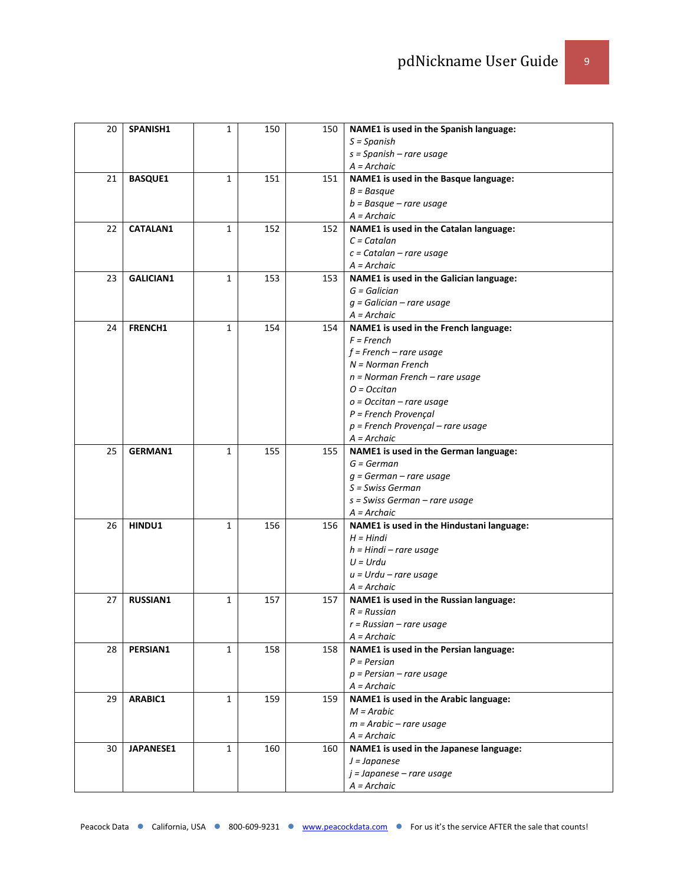| 20 | SPANISH1         | 1            | 150 | 150 | NAME1 is used in the Spanish language:    |
|----|------------------|--------------|-----|-----|-------------------------------------------|
|    |                  |              |     |     | $S =$ Spanish                             |
|    |                  |              |     |     | $s =$ Spanish – rare usage                |
|    |                  |              |     |     | $A = Archaic$                             |
| 21 | <b>BASQUE1</b>   | 1            | 151 | 151 | NAME1 is used in the Basque language:     |
|    |                  |              |     |     | $B = Basque$                              |
|    |                  |              |     |     | $b =$ Basque – rare usage                 |
|    |                  |              |     |     | $A = Archaic$                             |
| 22 | <b>CATALAN1</b>  |              | 152 | 152 |                                           |
|    |                  | 1            |     |     | NAME1 is used in the Catalan language:    |
|    |                  |              |     |     | $C =$ Catalan                             |
|    |                  |              |     |     | $c =$ Catalan – rare usage                |
|    |                  |              |     |     | $A = Archaic$                             |
| 23 | <b>GALICIAN1</b> | 1            | 153 | 153 | NAME1 is used in the Galician language:   |
|    |                  |              |     |     | $G = Galician$                            |
|    |                  |              |     |     | $g$ = Galician – rare usage               |
|    |                  |              |     |     | $A = Archaic$                             |
| 24 | <b>FRENCH1</b>   | 1            | 154 | 154 | NAME1 is used in the French language:     |
|    |                  |              |     |     | $F = French$                              |
|    |                  |              |     |     | $f$ = French – rare usage                 |
|    |                  |              |     |     | $N = Norman$ French                       |
|    |                  |              |     |     | $n = Norman$ French – rare usage          |
|    |                  |              |     |     | $O = Occitan$                             |
|    |                  |              |     |     | $o = Occitan - rare usage$                |
|    |                  |              |     |     | $P =$ French Provençal                    |
|    |                  |              |     |     | $p =$ French Provençal – rare usage       |
|    |                  |              |     |     | $A = Archaic$                             |
| 25 | <b>GERMAN1</b>   | 1            | 155 | 155 | NAME1 is used in the German language:     |
|    |                  |              |     |     | $G = German$                              |
|    |                  |              |     |     | $g = German - rare usage$                 |
|    |                  |              |     |     | S = Swiss German                          |
|    |                  |              |     |     | $s$ = Swiss German – rare usage           |
|    |                  |              |     |     | A = Archaic                               |
| 26 | HINDU1           | $\mathbf{1}$ | 156 | 156 | NAME1 is used in the Hindustani language: |
|    |                  |              |     |     | $H = Hindi$                               |
|    |                  |              |     |     | $h = H$ indi – rare usage                 |
|    |                  |              |     |     | $U = Urdu$                                |
|    |                  |              |     |     | $u = Urdu - rare$ usage                   |
|    |                  |              |     |     | $A = Archaic$                             |
| 27 | <b>RUSSIAN1</b>  | $\mathbf{1}$ | 157 | 157 | NAME1 is used in the Russian language:    |
|    |                  |              |     |     | $R = Russian$                             |
|    |                  |              |     |     | $r = Russian - rare usage$                |
|    |                  |              |     |     | $A = Archae$                              |
| 28 | PERSIAN1         | 1            | 158 | 158 | NAME1 is used in the Persian language:    |
|    |                  |              |     |     | $P = Persian$                             |
|    |                  |              |     |     | $p =$ Persian – rare usage                |
|    |                  |              |     |     | $A = Archaic$                             |
| 29 | ARABIC1          | 1            | 159 | 159 | NAME1 is used in the Arabic language:     |
|    |                  |              |     |     | $M = Arabic$                              |
|    |                  |              |     |     | $m = Arabic - rare usage$                 |
|    |                  |              |     |     | $A = Archaic$                             |
| 30 | <b>JAPANESE1</b> | 1            | 160 | 160 | NAME1 is used in the Japanese language:   |
|    |                  |              |     |     |                                           |
|    |                  |              |     |     | $J = Japanese$                            |
|    |                  |              |     |     | $j = Japanese - rare usage$               |
|    |                  |              |     |     | $A = Archae$                              |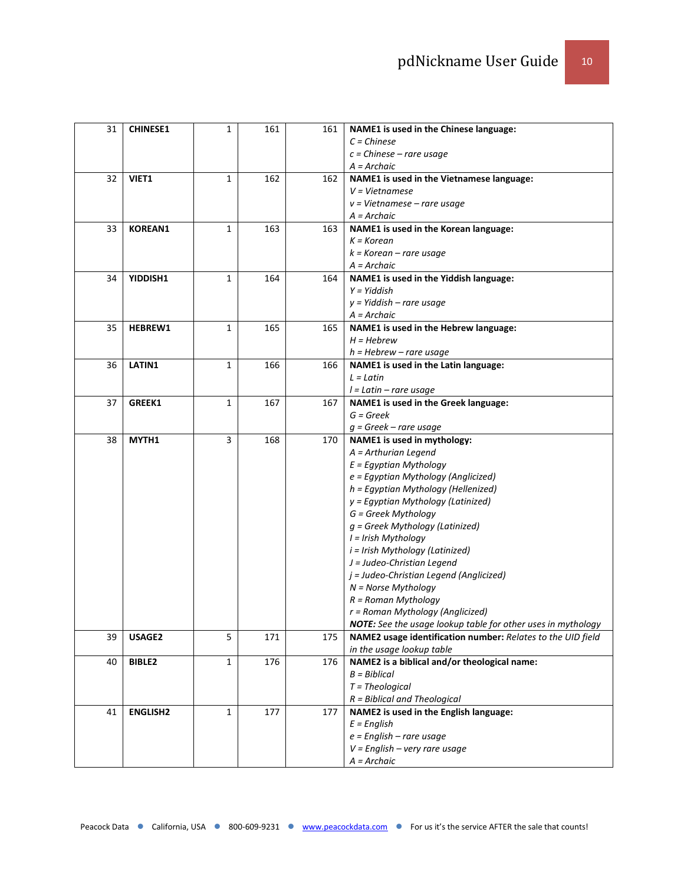| 31 | <b>CHINESE1</b> | 1            | 161 | 161 | NAME1 is used in the Chinese language:                       |
|----|-----------------|--------------|-----|-----|--------------------------------------------------------------|
|    |                 |              |     |     | $C = Chinese$                                                |
|    |                 |              |     |     | $c = Chinese - rare usage$                                   |
|    |                 |              |     |     | $A = Archaic$                                                |
| 32 | VIET1           | 1            | 162 | 162 | NAME1 is used in the Vietnamese language:                    |
|    |                 |              |     |     | $V = Vietnames$                                              |
|    |                 |              |     |     | $v = Vietnamese - rare usage$                                |
|    |                 |              |     |     | A = Archaic                                                  |
| 33 | <b>KOREAN1</b>  | 1            | 163 | 163 | NAME1 is used in the Korean language:                        |
|    |                 |              |     |     | $K = K$ orean                                                |
|    |                 |              |     |     | $k$ = Korean – rare usage                                    |
|    |                 |              |     |     | $A = Archaic$                                                |
| 34 | YIDDISH1        | 1            | 164 | 164 | NAME1 is used in the Yiddish language:                       |
|    |                 |              |     |     | $Y = Yiddish$                                                |
|    |                 |              |     |     | $y = Yiddish - rare usage$                                   |
|    |                 |              |     |     | $A = Archaic$                                                |
| 35 | HEBREW1         | 1            | 165 | 165 | NAME1 is used in the Hebrew language:                        |
|    |                 |              |     |     | $H = Hebrew$                                                 |
|    |                 |              |     |     | $h = Hebrew - rare usage$                                    |
| 36 | LATIN1          | 1            | 166 | 166 | NAME1 is used in the Latin language:                         |
|    |                 |              |     |     | $L = Latin$                                                  |
|    |                 |              |     |     | $l = Latin - rare usage$                                     |
| 37 | GREEK1          | 1            | 167 | 167 | NAME1 is used in the Greek language:                         |
|    |                 |              |     |     | $G = Greek$                                                  |
|    |                 |              |     |     | $q = \text{Greek} - \text{rare usage}$                       |
| 38 | MYTH1           | 3            | 168 | 170 | NAME1 is used in mythology:                                  |
|    |                 |              |     |     | A = Arthurian Legend                                         |
|    |                 |              |     |     | $E =$ Egyptian Mythology                                     |
|    |                 |              |     |     | e = Egyptian Mythology (Anglicized)                          |
|    |                 |              |     |     | h = Egyptian Mythology (Hellenized)                          |
|    |                 |              |     |     | y = Egyptian Mythology (Latinized)                           |
|    |                 |              |     |     | G = Greek Mythology                                          |
|    |                 |              |     |     | $g$ = Greek Mythology (Latinized)                            |
|    |                 |              |     |     | I = Irish Mythology                                          |
|    |                 |              |     |     | i = Irish Mythology (Latinized)                              |
|    |                 |              |     |     | J = Judeo-Christian Legend                                   |
|    |                 |              |     |     | j = Judeo-Christian Legend (Anglicized)                      |
|    |                 |              |     |     | $N = N$ orse Mythology                                       |
|    |                 |              |     |     | $R = Roman Mythology$                                        |
|    |                 |              |     |     | r = Roman Mythology (Anglicized)                             |
|    |                 |              |     |     | NOTE: See the usage lookup table for other uses in mythology |
| 39 | USAGE2          | 5            | 171 | 175 | NAME2 usage identification number: Relates to the UID field  |
|    |                 |              |     |     | in the usage lookup table                                    |
| 40 | <b>BIBLE2</b>   | $\mathbf{1}$ | 176 | 176 | NAME2 is a biblical and/or theological name:                 |
|    |                 |              |     |     | $B = Biblical$                                               |
|    |                 |              |     |     | $T = Theological$                                            |
|    |                 |              |     |     | $R = Biblical$ and Theological                               |
| 41 | <b>ENGLISH2</b> | $\mathbf{1}$ | 177 | 177 | NAME2 is used in the English language:                       |
|    |                 |              |     |     | $E =$ English                                                |
|    |                 |              |     |     | $e$ = English – rare usage                                   |
|    |                 |              |     |     | $V =$ English – very rare usage                              |
|    |                 |              |     |     | A = Archaic                                                  |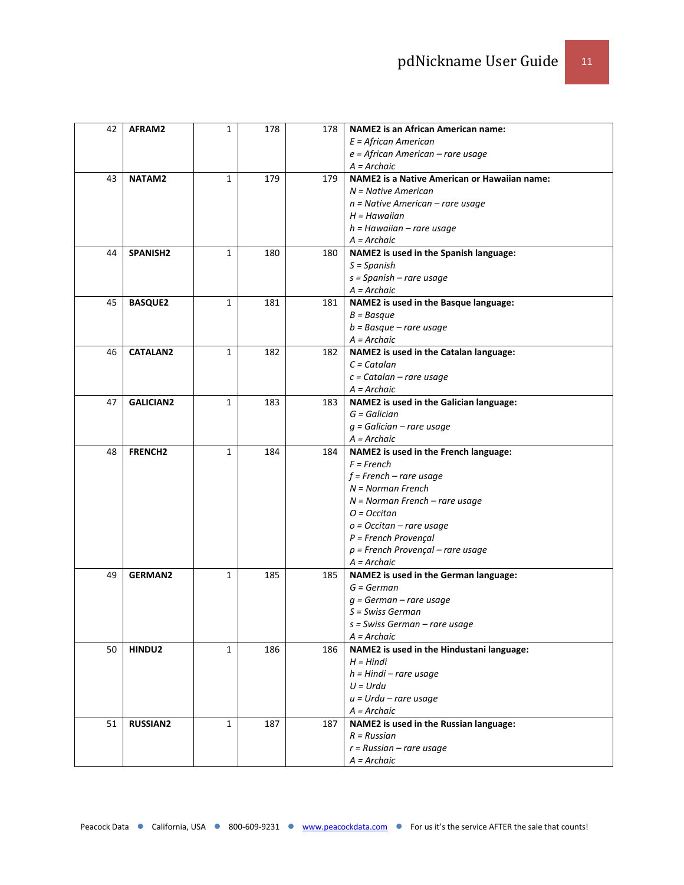| 42 | AFRAM2           | 1 | 178 | 178 | <b>NAME2</b> is an African American name:               |
|----|------------------|---|-----|-----|---------------------------------------------------------|
|    |                  |   |     |     | $E =$ African American                                  |
|    |                  |   |     |     | $e =$ African American – rare usage                     |
|    |                  |   |     |     | $A = Archaic$                                           |
| 43 | NATAM2           | 1 | 179 | 179 | <b>NAME2</b> is a Native American or Hawaiian name:     |
|    |                  |   |     |     | $N =$ Native American                                   |
|    |                  |   |     |     | $n =$ Native American – rare usage                      |
|    |                  |   |     |     | $H =$ Hawaiian                                          |
|    |                  |   |     |     | $h =$ Hawaiian – rare usage                             |
|    |                  |   |     |     | $A = Archaic$                                           |
| 44 | SPANISH2         | 1 | 180 | 180 | NAME2 is used in the Spanish language:                  |
|    |                  |   |     |     | $S = Spanish$                                           |
|    |                  |   |     |     | $s =$ Spanish – rare usage                              |
|    |                  |   |     |     | $A = Archaic$                                           |
| 45 | <b>BASQUE2</b>   | 1 | 181 | 181 | NAME2 is used in the Basque language:                   |
|    |                  |   |     |     | $B = Basque$                                            |
|    |                  |   |     |     | $b =$ Basque – rare usage                               |
|    |                  |   |     |     | $A = Archaic$                                           |
| 46 | <b>CATALAN2</b>  | 1 | 182 | 182 | NAME2 is used in the Catalan language:                  |
|    |                  |   |     |     | $C = \text{Catalan}$                                    |
|    |                  |   |     |     | $c =$ Catalan – rare usage                              |
|    |                  |   |     |     | $A = Archaic$                                           |
| 47 | <b>GALICIAN2</b> | 1 | 183 | 183 | NAME2 is used in the Galician language:                 |
|    |                  |   |     |     | $G = Galician$                                          |
|    |                  |   |     |     | $q$ = Galician – rare usage                             |
|    |                  |   |     |     | $A = Archaic$                                           |
| 48 | <b>FRENCH2</b>   | 1 | 184 | 184 | NAME2 is used in the French language:                   |
|    |                  |   |     |     | $F = French$                                            |
|    |                  |   |     |     | $f$ = French – rare usage                               |
|    |                  |   |     |     | $N = Norman$ French                                     |
|    |                  |   |     |     | $N = Norman$ French – rare usage                        |
|    |                  |   |     |     | $O = Occitan$                                           |
|    |                  |   |     |     | $o = Occitan - rare usage$<br>$P =$ French Provençal    |
|    |                  |   |     |     | $p =$ French Provençal – rare usage                     |
|    |                  |   |     |     | $A = Archaic$                                           |
| 49 | <b>GERMAN2</b>   | 1 | 185 | 185 | NAME2 is used in the German language:                   |
|    |                  |   |     |     | $G = German$                                            |
|    |                  |   |     |     | $q = German - rare usage$                               |
|    |                  |   |     |     | S = Swiss German                                        |
|    |                  |   |     |     | s = Swiss German – rare usage                           |
|    |                  |   |     |     | $A = Archaic$                                           |
| 50 | HINDU2           | 1 | 186 | 186 | NAME2 is used in the Hindustani language:               |
|    |                  |   |     |     | $H = Hindi$                                             |
|    |                  |   |     |     |                                                         |
|    |                  |   |     |     |                                                         |
|    |                  |   |     |     | $h = H$ indi – rare usage                               |
|    |                  |   |     |     | $U = Urdu$                                              |
|    |                  |   |     |     | $u = Urdu - rare$ usage                                 |
| 51 |                  | 1 | 187 | 187 | $A = Archae$                                            |
|    | <b>RUSSIAN2</b>  |   |     |     | NAME2 is used in the Russian language:<br>$R = Russian$ |
|    |                  |   |     |     | $r = Russian - rare usage$                              |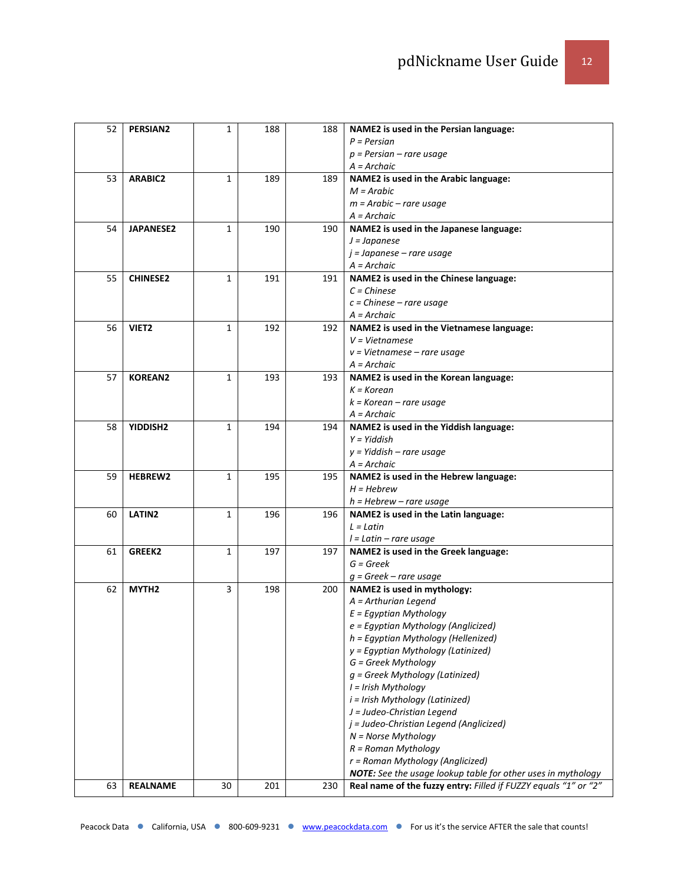| 52 | <b>PERSIAN2</b>   | $\mathbf{1}$ | 188 | 188 | NAME2 is used in the Persian language:                          |
|----|-------------------|--------------|-----|-----|-----------------------------------------------------------------|
|    |                   |              |     |     | $P = Persian$                                                   |
|    |                   |              |     |     | $p =$ Persian – rare usage                                      |
|    |                   |              |     |     | A = Archaic                                                     |
| 53 | <b>ARABIC2</b>    | 1            | 189 | 189 | NAME2 is used in the Arabic language:                           |
|    |                   |              |     |     | $M = Arabic$                                                    |
|    |                   |              |     |     | $m = Arabic - rare usage$                                       |
|    |                   |              |     |     | A = Archaic                                                     |
|    |                   | $\mathbf{1}$ |     |     |                                                                 |
| 54 | <b>JAPANESE2</b>  |              | 190 | 190 | NAME2 is used in the Japanese language:                         |
|    |                   |              |     |     | $J = Japanese$                                                  |
|    |                   |              |     |     | $j = Japanese - rare usage$                                     |
|    |                   |              |     |     | $A = Archaic$                                                   |
| 55 | <b>CHINESE2</b>   | 1            | 191 | 191 | NAME2 is used in the Chinese language:                          |
|    |                   |              |     |     | $C = Chinese$                                                   |
|    |                   |              |     |     | $c = Chinese - rare usage$                                      |
|    |                   |              |     |     | $A = Archaic$                                                   |
| 56 | VIET <sub>2</sub> | 1            | 192 | 192 | NAME2 is used in the Vietnamese language:                       |
|    |                   |              |     |     | $V = Vietnamese$                                                |
|    |                   |              |     |     | $v = Vietnamese - rare usage$                                   |
|    |                   |              |     |     | A = Archaic                                                     |
| 57 | <b>KOREAN2</b>    | $\mathbf{1}$ | 193 | 193 | NAME2 is used in the Korean language:                           |
|    |                   |              |     |     | $K = K$ orean                                                   |
|    |                   |              |     |     | $k = K$ orean – rare usage                                      |
|    |                   |              |     |     | A = Archaic                                                     |
| 58 | YIDDISH2          | 1            | 194 | 194 | NAME2 is used in the Yiddish language:                          |
|    |                   |              |     |     | $Y = Yiddish$                                                   |
|    |                   |              |     |     | $y = Yiddish - rare usage$                                      |
|    |                   |              |     |     | $A = Archaic$                                                   |
| 59 | <b>HEBREW2</b>    | $\mathbf{1}$ | 195 | 195 | NAME2 is used in the Hebrew language:                           |
|    |                   |              |     |     | $H = Hebrew$                                                    |
|    |                   |              |     |     | $h = Hebrew - rare usage$                                       |
| 60 | LATIN2            | $\mathbf{1}$ | 196 | 196 | NAME2 is used in the Latin language:                            |
|    |                   |              |     |     | $L = Latin$                                                     |
|    |                   |              |     |     | $l =$ Latin – rare usage                                        |
| 61 | <b>GREEK2</b>     | $\mathbf{1}$ | 197 | 197 | NAME2 is used in the Greek language:                            |
|    |                   |              |     |     | $G = Greek$                                                     |
|    |                   |              |     |     | $g = \text{Greek} - \text{rare usage}$                          |
|    |                   |              |     |     |                                                                 |
| 62 | MYTH <sub>2</sub> | 3            | 198 | 200 | NAME2 is used in mythology:<br>A = Arthurian Legend             |
|    |                   |              |     |     |                                                                 |
|    |                   |              |     |     | $E =$ Egyptian Mythology                                        |
|    |                   |              |     |     | e = Egyptian Mythology (Anglicized)                             |
|    |                   |              |     |     | h = Egyptian Mythology (Hellenized)                             |
|    |                   |              |     |     | y = Egyptian Mythology (Latinized)                              |
|    |                   |              |     |     | G = Greek Mythology                                             |
|    |                   |              |     |     | g = Greek Mythology (Latinized)                                 |
|    |                   |              |     |     | I = Irish Mythology                                             |
|    |                   |              |     |     | i = Irish Mythology (Latinized)                                 |
|    |                   |              |     |     | J = Judeo-Christian Legend                                      |
|    |                   |              |     |     | j = Judeo-Christian Legend (Anglicized)                         |
|    |                   |              |     |     | $N = N$ orse Mythology                                          |
|    |                   |              |     |     | $R = Roman Mythology$                                           |
|    |                   |              |     |     | r = Roman Mythology (Anglicized)                                |
|    |                   |              |     |     | NOTE: See the usage lookup table for other uses in mythology    |
| 63 | <b>REALNAME</b>   | 30           | 201 | 230 | Real name of the fuzzy entry: Filled if FUZZY equals "1" or "2" |
|    |                   |              |     |     |                                                                 |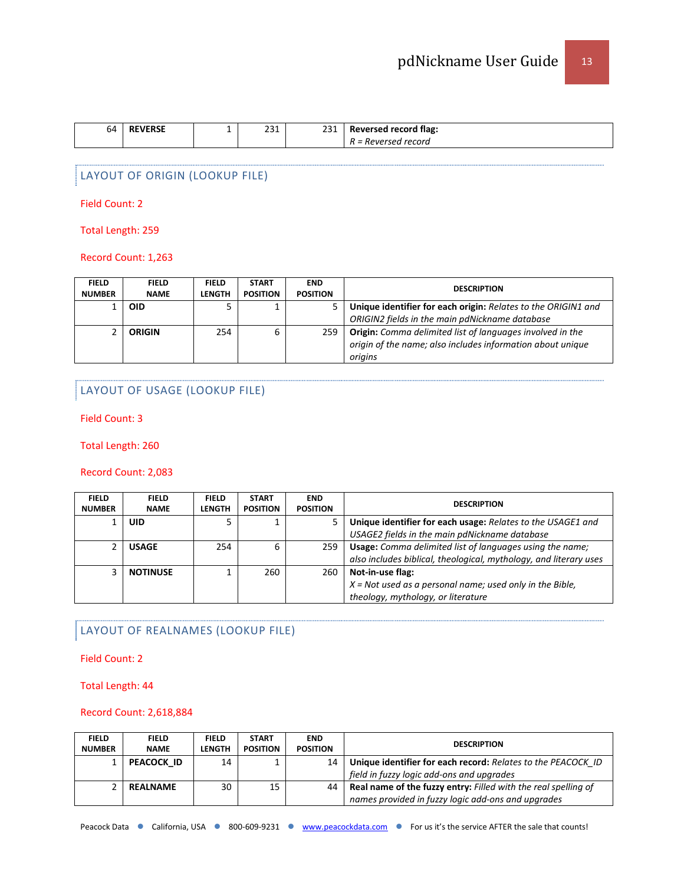| 64 | <b>VERSE</b><br>RF | 221<br>251<br>$\sim$ $\sim$ $\sim$ $\sim$ $\sim$ $\sim$ | าาง | <b>Reversed record flag:</b>                |
|----|--------------------|---------------------------------------------------------|-----|---------------------------------------------|
|    |                    |                                                         |     | Reversed record<br>$\overline{\phantom{0}}$ |

# LAYOUT OF ORIGIN (LOOKUP FILE)

Field Count: 2

Total Length: 259

Record Count: 1,263

| <b>FIELD</b><br><b>NUMBER</b> | <b>FIELD</b><br><b>NAME</b> | <b>FIELD</b><br><b>LENGTH</b> | <b>START</b><br><b>POSITION</b> | <b>END</b><br><b>POSITION</b> | <b>DESCRIPTION</b>                                                                                                                 |
|-------------------------------|-----------------------------|-------------------------------|---------------------------------|-------------------------------|------------------------------------------------------------------------------------------------------------------------------------|
|                               | OID                         |                               |                                 |                               | Unique identifier for each origin: Relates to the ORIGIN1 and<br>ORIGIN2 fields in the main pdNickname database                    |
|                               | <b>ORIGIN</b>               | 254                           | 6                               | 259                           | Origin: Comma delimited list of languages involved in the<br>origin of the name; also includes information about unique<br>origins |

# LAYOUT OF USAGE (LOOKUP FILE)

Field Count: 3

Total Length: 260

#### Record Count: 2,083

| <b>FIELD</b><br><b>NUMBER</b> | <b>FIELD</b><br><b>NAME</b> | <b>FIELD</b><br><b>LENGTH</b> | <b>START</b><br><b>POSITION</b> | <b>END</b><br><b>POSITION</b> | <b>DESCRIPTION</b>                                                |
|-------------------------------|-----------------------------|-------------------------------|---------------------------------|-------------------------------|-------------------------------------------------------------------|
|                               | UID                         |                               |                                 | 5.                            | Unique identifier for each usage: Relates to the USAGE1 and       |
|                               |                             |                               |                                 |                               | USAGE2 fields in the main pdNickname database                     |
|                               | <b>USAGE</b>                | 254                           | 6                               | 259                           | Usage: Comma delimited list of languages using the name;          |
|                               |                             |                               |                                 |                               | also includes biblical, theological, mythology, and literary uses |
| ς                             | <b>NOTINUSE</b>             |                               | 260                             | 260                           | Not-in-use flag:                                                  |
|                               |                             |                               |                                 |                               | $X = Not$ used as a personal name; used only in the Bible,        |
|                               |                             |                               |                                 |                               | theology, mythology, or literature                                |

# LAYOUT OF REALNAMES (LOOKUP FILE)

Field Count: 2

Total Length: 44

#### Record Count: 2,618,884

| <b>FIELD</b>  | <b>FIELD</b>    | <b>FIELD</b> | <b>START</b>    | <b>END</b>      | <b>DESCRIPTION</b>                                                    |  |
|---------------|-----------------|--------------|-----------------|-----------------|-----------------------------------------------------------------------|--|
| <b>NUMBER</b> | <b>NAME</b>     | LENGTH       | <b>POSITION</b> | <b>POSITION</b> |                                                                       |  |
|               | PEACOCK ID      | 14           |                 | 14              | Unique identifier for each record: Relates to the PEACOCK ID          |  |
|               |                 |              |                 |                 | field in fuzzy logic add-ons and upgrades                             |  |
|               | <b>REALNAME</b> | 30           | 15              | 44 I            | <b>Real name of the fuzzy entry:</b> Filled with the real spelling of |  |
|               |                 |              |                 |                 | names provided in fuzzy logic add-ons and upgrades                    |  |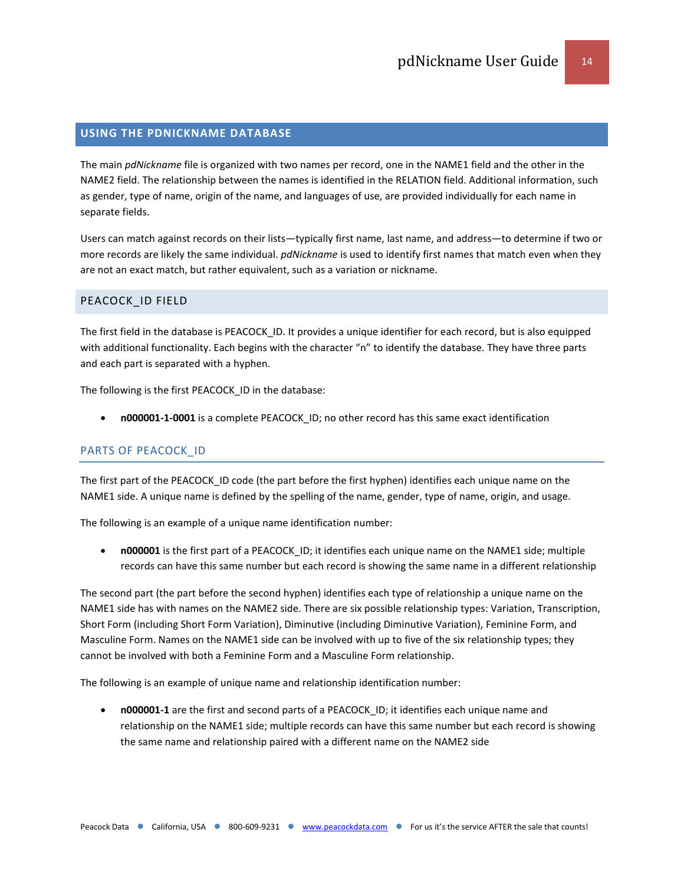## <span id="page-13-0"></span>**USING THE PDNICKNAME DATABASE**

The main *pdNickname* file is organized with two names per record, one in the NAME1 field and the other in the NAME2 field. The relationship between the names is identified in the RELATION field. Additional information, such as gender, type of name, origin of the name, and languages of use, are provided individually for each name in separate fields.

Users can match against records on their lists—typically first name, last name, and address—to determine if two or more records are likely the same individual. *pdNickname* is used to identify first names that match even when they are not an exact match, but rather equivalent, such as a variation or nickname.

# <span id="page-13-1"></span>PEACOCK\_ID FIELD

The first field in the database is PEACOCK\_ID. It provides a unique identifier for each record, but is also equipped with additional functionality. Each begins with the character "n" to identify the database. They have three parts and each part is separated with a hyphen.

The following is the first PEACOCK\_ID in the database:

• **n000001-1-0001** is a complete PEACOCK\_ID; no other record has this same exact identification

#### PARTS OF PEACOCK\_ID

The first part of the PEACOCK ID code (the part before the first hyphen) identifies each unique name on the NAME1 side. A unique name is defined by the spelling of the name, gender, type of name, origin, and usage.

The following is an example of a unique name identification number:

• **n000001** is the first part of a PEACOCK\_ID; it identifies each unique name on the NAME1 side; multiple records can have this same number but each record is showing the same name in a different relationship

The second part (the part before the second hyphen) identifies each type of relationship a unique name on the NAME1 side has with names on the NAME2 side. There are six possible relationship types: Variation, Transcription, Short Form (including Short Form Variation), Diminutive (including Diminutive Variation), Feminine Form, and Masculine Form. Names on the NAME1 side can be involved with up to five of the six relationship types; they cannot be involved with both a Feminine Form and a Masculine Form relationship.

The following is an example of unique name and relationship identification number:

• **n000001-1** are the first and second parts of a PEACOCK\_ID; it identifies each unique name and relationship on the NAME1 side; multiple records can have this same number but each record is showing the same name and relationship paired with a different name on the NAME2 side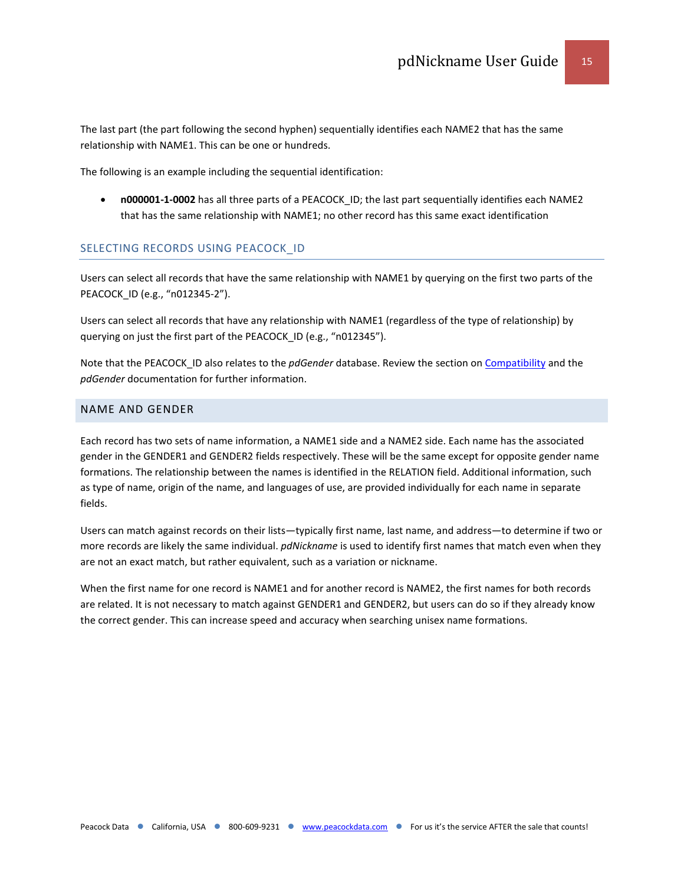The last part (the part following the second hyphen) sequentially identifies each NAME2 that has the same relationship with NAME1. This can be one or hundreds.

The following is an example including the sequential identification:

• **n000001-1-0002** has all three parts of a PEACOCK\_ID; the last part sequentially identifies each NAME2 that has the same relationship with NAME1; no other record has this same exact identification

# SELECTING RECORDS USING PEACOCK\_ID

Users can select all records that have the same relationship with NAME1 by querying on the first two parts of the PEACOCK\_ID (e.g., "n012345-2").

Users can select all records that have any relationship with NAME1 (regardless of the type of relationship) by querying on just the first part of the PEACOCK\_ID (e.g., "n012345").

Note that the PEACOCK\_ID also relates to the *pdGender* database. Review the section o[n Compatibility](#page-27-0) and the *pdGender* documentation for further information.

# <span id="page-14-0"></span>NAME AND GENDER

Each record has two sets of name information, a NAME1 side and a NAME2 side. Each name has the associated gender in the GENDER1 and GENDER2 fields respectively. These will be the same except for opposite gender name formations. The relationship between the names is identified in the RELATION field. Additional information, such as type of name, origin of the name, and languages of use, are provided individually for each name in separate fields.

Users can match against records on their lists—typically first name, last name, and address—to determine if two or more records are likely the same individual. *pdNickname* is used to identify first names that match even when they are not an exact match, but rather equivalent, such as a variation or nickname.

When the first name for one record is NAME1 and for another record is NAME2, the first names for both records are related. It is not necessary to match against GENDER1 and GENDER2, but users can do so if they already know the correct gender. This can increase speed and accuracy when searching unisex name formations.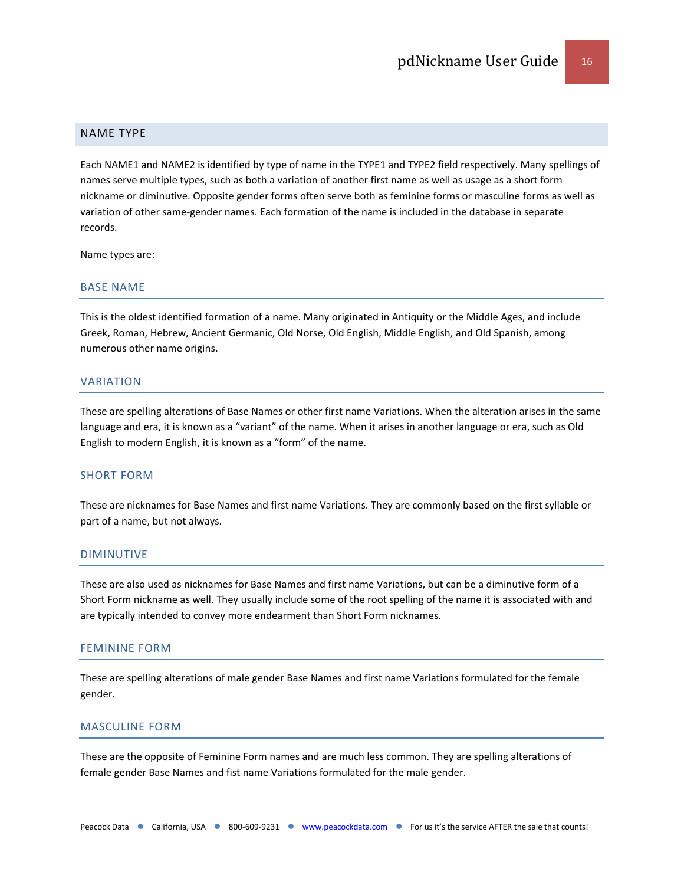#### <span id="page-15-0"></span>NAME TYPE

Each NAME1 and NAME2 is identified by type of name in the TYPE1 and TYPE2 field respectively. Many spellings of names serve multiple types, such as both a variation of another first name as well as usage as a short form nickname or diminutive. Opposite gender forms often serve both as feminine forms or masculine forms as well as variation of other same-gender names. Each formation of the name is included in the database in separate records.

Name types are:

#### BASE NAME

This is the oldest identified formation of a name. Many originated in Antiquity or the Middle Ages, and include Greek, Roman, Hebrew, Ancient Germanic, Old Norse, Old English, Middle English, and Old Spanish, among numerous other name origins.

#### VARIATION

These are spelling alterations of Base Names or other first name Variations. When the alteration arises in the same language and era, it is known as a "variant" of the name. When it arises in another language or era, such as Old English to modern English, it is known as a "form" of the name.

# SHORT FORM

These are nicknames for Base Names and first name Variations. They are commonly based on the first syllable or part of a name, but not always.

#### DIMINUTIVE

These are also used as nicknames for Base Names and first name Variations, but can be a diminutive form of a Short Form nickname as well. They usually include some of the root spelling of the name it is associated with and are typically intended to convey more endearment than Short Form nicknames.

#### FEMININE FORM

These are spelling alterations of male gender Base Names and first name Variations formulated for the female gender.

#### MASCULINE FORM

These are the opposite of Feminine Form names and are much less common. They are spelling alterations of female gender Base Names and fist name Variations formulated for the male gender.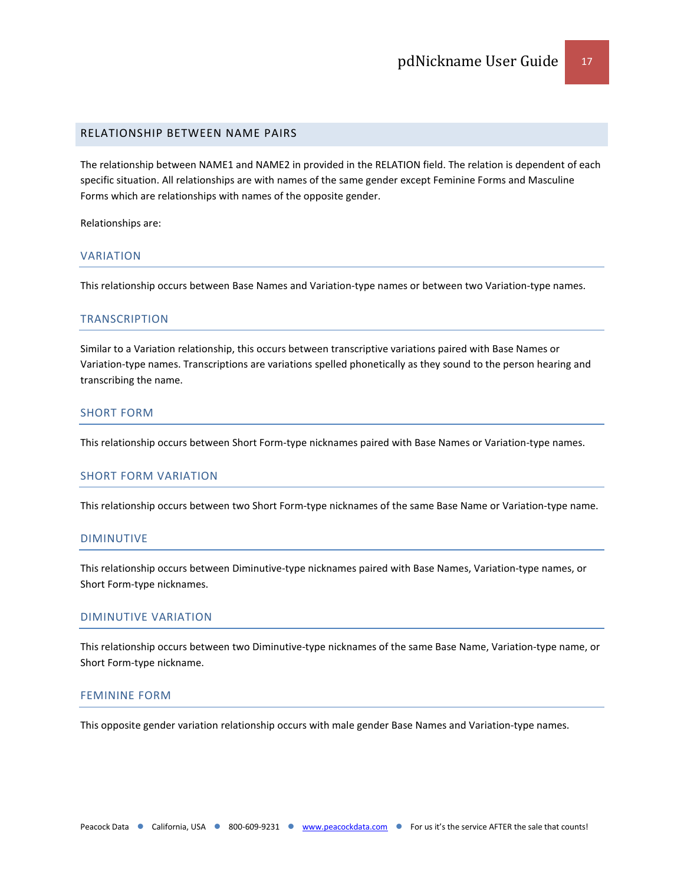#### <span id="page-16-0"></span>RELATIONSHIP BETWEEN NAME PAIRS

The relationship between NAME1 and NAME2 in provided in the RELATION field. The relation is dependent of each specific situation. All relationships are with names of the same gender except Feminine Forms and Masculine Forms which are relationships with names of the opposite gender.

Relationships are:

#### VARIATION

This relationship occurs between Base Names and Variation-type names or between two Variation-type names.

#### **TRANSCRIPTION**

Similar to a Variation relationship, this occurs between transcriptive variations paired with Base Names or Variation-type names. Transcriptions are variations spelled phonetically as they sound to the person hearing and transcribing the name.

# SHORT FORM

This relationship occurs between Short Form-type nicknames paired with Base Names or Variation-type names.

# SHORT FORM VARIATION

This relationship occurs between two Short Form-type nicknames of the same Base Name or Variation-type name.

#### DIMINUTIVE

This relationship occurs between Diminutive-type nicknames paired with Base Names, Variation-type names, or Short Form-type nicknames.

#### DIMINUTIVE VARIATION

This relationship occurs between two Diminutive-type nicknames of the same Base Name, Variation-type name, or Short Form-type nickname.

#### FEMININE FORM

This opposite gender variation relationship occurs with male gender Base Names and Variation-type names.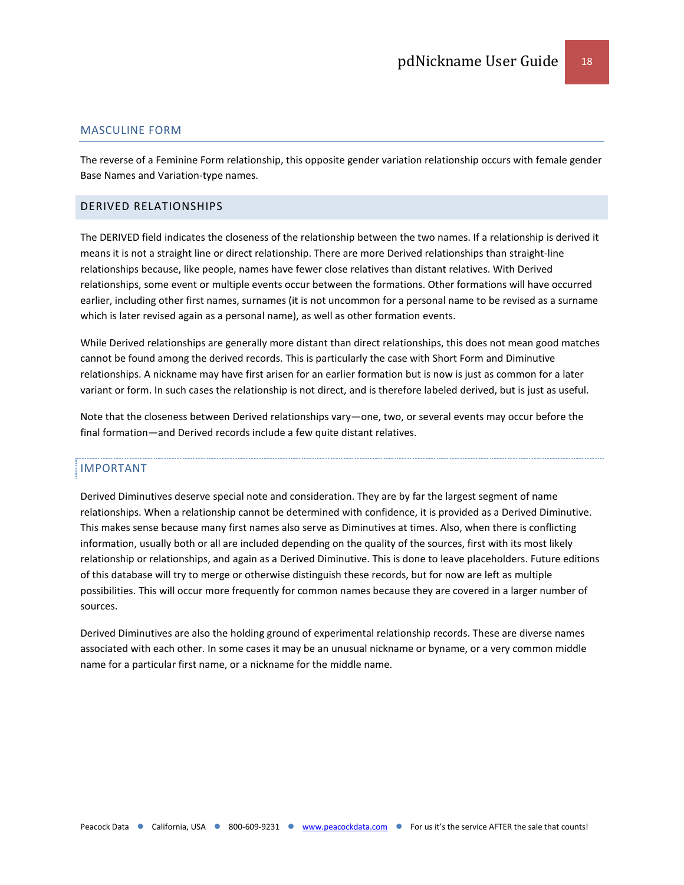#### MASCULINE FORM

The reverse of a Feminine Form relationship, this opposite gender variation relationship occurs with female gender Base Names and Variation-type names.

#### <span id="page-17-0"></span>DERIVED RELATIONSHIPS

The DERIVED field indicates the closeness of the relationship between the two names. If a relationship is derived it means it is not a straight line or direct relationship. There are more Derived relationships than straight-line relationships because, like people, names have fewer close relatives than distant relatives. With Derived relationships, some event or multiple events occur between the formations. Other formations will have occurred earlier, including other first names, surnames (it is not uncommon for a personal name to be revised as a surname which is later revised again as a personal name), as well as other formation events.

While Derived relationships are generally more distant than direct relationships, this does not mean good matches cannot be found among the derived records. This is particularly the case with Short Form and Diminutive relationships. A nickname may have first arisen for an earlier formation but is now is just as common for a later variant or form. In such cases the relationship is not direct, and is therefore labeled derived, but is just as useful.

Note that the closeness between Derived relationships vary—one, two, or several events may occur before the final formation—and Derived records include a few quite distant relatives.

#### IMPORTANT

Derived Diminutives deserve special note and consideration. They are by far the largest segment of name relationships. When a relationship cannot be determined with confidence, it is provided as a Derived Diminutive. This makes sense because many first names also serve as Diminutives at times. Also, when there is conflicting information, usually both or all are included depending on the quality of the sources, first with its most likely relationship or relationships, and again as a Derived Diminutive. This is done to leave placeholders. Future editions of this database will try to merge or otherwise distinguish these records, but for now are left as multiple possibilities. This will occur more frequently for common names because they are covered in a larger number of sources.

Derived Diminutives are also the holding ground of experimental relationship records. These are diverse names associated with each other. In some cases it may be an unusual nickname or byname, or a very common middle name for a particular first name, or a nickname for the middle name.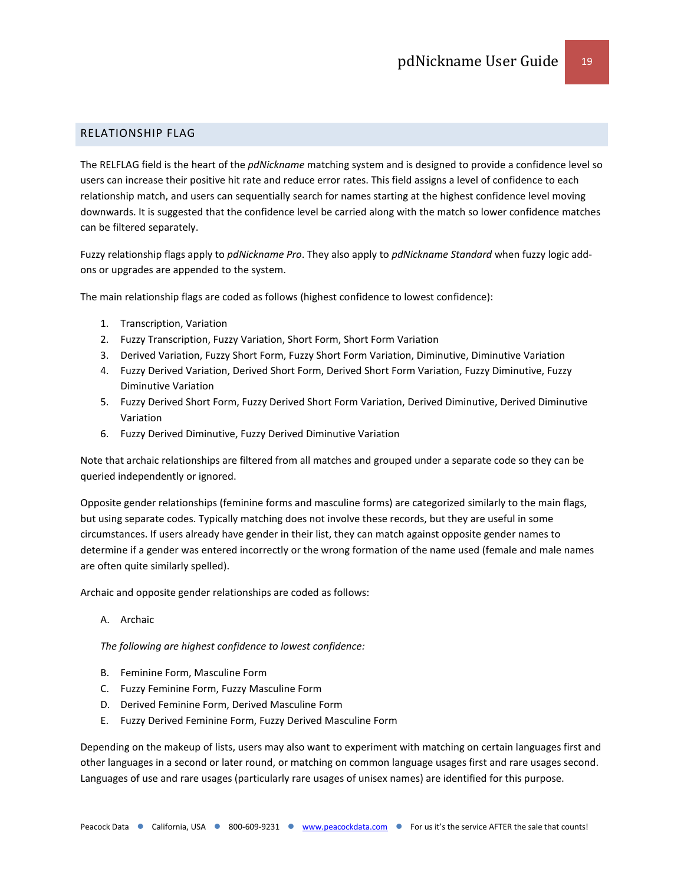# <span id="page-18-0"></span>RELATIONSHIP FLAG

The RELFLAG field is the heart of the *pdNickname* matching system and is designed to provide a confidence level so users can increase their positive hit rate and reduce error rates. This field assigns a level of confidence to each relationship match, and users can sequentially search for names starting at the highest confidence level moving downwards. It is suggested that the confidence level be carried along with the match so lower confidence matches can be filtered separately.

Fuzzy relationship flags apply to *pdNickname Pro*. They also apply to *pdNickname Standard* when fuzzy logic addons or upgrades are appended to the system.

The main relationship flags are coded as follows (highest confidence to lowest confidence):

- 1. Transcription, Variation
- 2. Fuzzy Transcription, Fuzzy Variation, Short Form, Short Form Variation
- 3. Derived Variation, Fuzzy Short Form, Fuzzy Short Form Variation, Diminutive, Diminutive Variation
- 4. Fuzzy Derived Variation, Derived Short Form, Derived Short Form Variation, Fuzzy Diminutive, Fuzzy Diminutive Variation
- 5. Fuzzy Derived Short Form, Fuzzy Derived Short Form Variation, Derived Diminutive, Derived Diminutive Variation
- 6. Fuzzy Derived Diminutive, Fuzzy Derived Diminutive Variation

Note that archaic relationships are filtered from all matches and grouped under a separate code so they can be queried independently or ignored.

Opposite gender relationships (feminine forms and masculine forms) are categorized similarly to the main flags, but using separate codes. Typically matching does not involve these records, but they are useful in some circumstances. If users already have gender in their list, they can match against opposite gender names to determine if a gender was entered incorrectly or the wrong formation of the name used (female and male names are often quite similarly spelled).

Archaic and opposite gender relationships are coded as follows:

A. Archaic

*The following are highest confidence to lowest confidence:*

- B. Feminine Form, Masculine Form
- C. Fuzzy Feminine Form, Fuzzy Masculine Form
- D. Derived Feminine Form, Derived Masculine Form
- E. Fuzzy Derived Feminine Form, Fuzzy Derived Masculine Form

Depending on the makeup of lists, users may also want to experiment with matching on certain languages first and other languages in a second or later round, or matching on common language usages first and rare usages second. Languages of use and rare usages (particularly rare usages of unisex names) are identified for this purpose.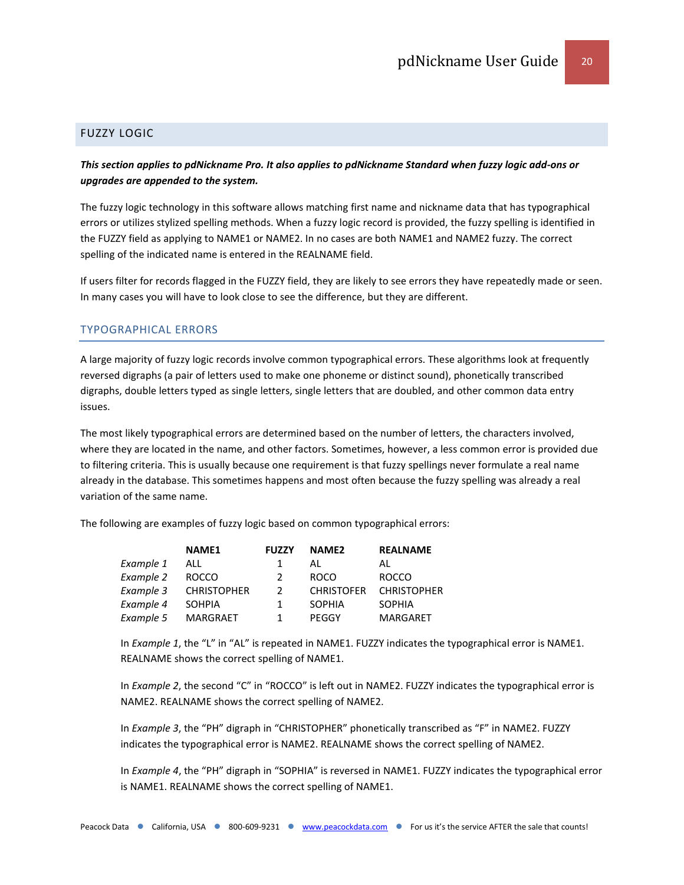#### <span id="page-19-0"></span>FUZZY LOGIC

# *This section applies to pdNickname Pro. It also applies to pdNickname Standard when fuzzy logic add-ons or upgrades are appended to the system.*

The fuzzy logic technology in this software allows matching first name and nickname data that has typographical errors or utilizes stylized spelling methods. When a fuzzy logic record is provided, the fuzzy spelling is identified in the FUZZY field as applying to NAME1 or NAME2. In no cases are both NAME1 and NAME2 fuzzy. The correct spelling of the indicated name is entered in the REALNAME field.

If users filter for records flagged in the FUZZY field, they are likely to see errors they have repeatedly made or seen. In many cases you will have to look close to see the difference, but they are different.

#### TYPOGRAPHICAL ERRORS

A large majority of fuzzy logic records involve common typographical errors. These algorithms look at frequently reversed digraphs (a pair of letters used to make one phoneme or distinct sound), phonetically transcribed digraphs, double letters typed as single letters, single letters that are doubled, and other common data entry issues.

The most likely typographical errors are determined based on the number of letters, the characters involved, where they are located in the name, and other factors. Sometimes, however, a less common error is provided due to filtering criteria. This is usually because one requirement is that fuzzy spellings never formulate a real name already in the database. This sometimes happens and most often because the fuzzy spelling was already a real variation of the same name.

The following are examples of fuzzy logic based on common typographical errors:

|           | <b>NAME1</b>       | <b>FUZZY</b>  | NAME <sub>2</sub> | <b>REALNAME</b>    |
|-----------|--------------------|---------------|-------------------|--------------------|
| Example 1 | ALL                | 1             | AL                | AL                 |
| Example 2 | <b>ROCCO</b>       | $\mathcal{P}$ | <b>ROCO</b>       | <b>ROCCO</b>       |
| Example 3 | <b>CHRISTOPHER</b> | $\mathcal{P}$ | <b>CHRISTOFER</b> | <b>CHRISTOPHER</b> |
| Example 4 | <b>SOHPIA</b>      | 1             | <b>SOPHIA</b>     | <b>SOPHIA</b>      |
| Example 5 | <b>MARGRAET</b>    |               | PEGGY             | <b>MARGARET</b>    |

In *Example 1*, the "L" in "AL" is repeated in NAME1. FUZZY indicates the typographical error is NAME1. REALNAME shows the correct spelling of NAME1.

In *Example 2*, the second "C" in "ROCCO" is left out in NAME2. FUZZY indicates the typographical error is NAME2. REALNAME shows the correct spelling of NAME2.

In *Example 3*, the "PH" digraph in "CHRISTOPHER" phonetically transcribed as "F" in NAME2. FUZZY indicates the typographical error is NAME2. REALNAME shows the correct spelling of NAME2.

In *Example 4*, the "PH" digraph in "SOPHIA" is reversed in NAME1. FUZZY indicates the typographical error is NAME1. REALNAME shows the correct spelling of NAME1.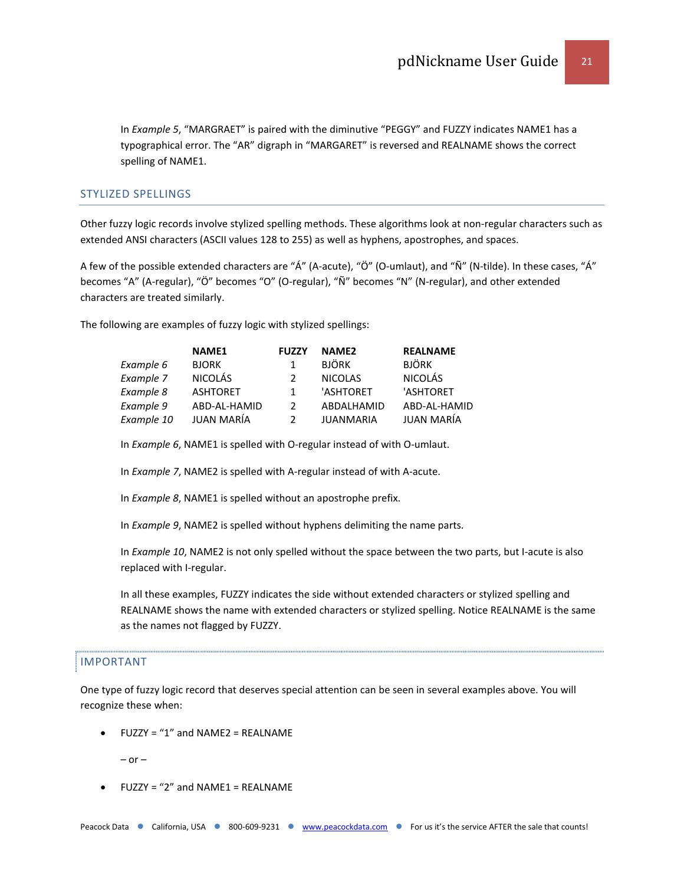In *Example 5*, "MARGRAET" is paired with the diminutive "PEGGY" and FUZZY indicates NAME1 has a typographical error. The "AR" digraph in "MARGARET" is reversed and REALNAME shows the correct spelling of NAME1.

#### STYLIZED SPELLINGS

Other fuzzy logic records involve stylized spelling methods. These algorithms look at non-regular characters such as extended ANSI characters (ASCII values 128 to 255) as well as hyphens, apostrophes, and spaces.

A few of the possible extended characters are "Á" (A-acute), "Ö" (O-umlaut), and "Ñ" (N-tilde). In these cases, "Á" becomes "A" (A-regular), "Ö" becomes "O" (O-regular), "Ñ" becomes "N" (N-regular), and other extended characters are treated similarly.

The following are examples of fuzzy logic with stylized spellings:

|            | <b>NAME1</b>    | <b>FUZZY</b>  | NAME <sub>2</sub> | <b>REALNAME</b> |
|------------|-----------------|---------------|-------------------|-----------------|
| Example 6  | <b>BJORK</b>    | 1             | <b>BJÖRK</b>      | <b>BJÖRK</b>    |
| Example 7  | <b>NICOLÁS</b>  | $\mathcal{P}$ | <b>NICOLAS</b>    | <b>NICOLÁS</b>  |
| Example 8  | <b>ASHTORET</b> | 1             | 'ASHTORET         | 'ASHTORET       |
| Example 9  | ABD-AL-HAMID    | $\mathcal{P}$ | ABDALHAMID        | ABD-AL-HAMID    |
| Example 10 | JUAN MARÍA      | $\mathcal{P}$ | <b>JUANMARIA</b>  | JUAN MARÍA      |

In *Example 6*, NAME1 is spelled with O-regular instead of with O-umlaut.

In *Example 7*, NAME2 is spelled with A-regular instead of with A-acute.

In *Example 8*, NAME1 is spelled without an apostrophe prefix.

In *Example 9*, NAME2 is spelled without hyphens delimiting the name parts.

In *Example 10*, NAME2 is not only spelled without the space between the two parts, but I-acute is also replaced with I-regular.

In all these examples, FUZZY indicates the side without extended characters or stylized spelling and REALNAME shows the name with extended characters or stylized spelling. Notice REALNAME is the same as the names not flagged by FUZZY.

#### IMPORTANT

One type of fuzzy logic record that deserves special attention can be seen in several examples above. You will recognize these when:

• FUZZY = "1" and NAME2 = REALNAME

 $-$  or  $-$ 

 $FUZZY = "2"$  and  $NAME1 = REALNAME$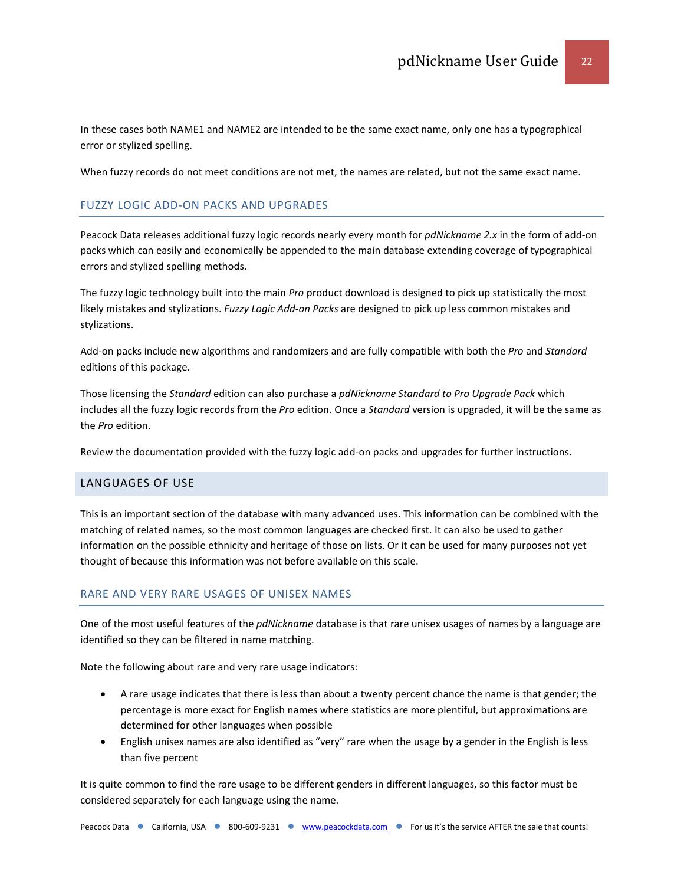In these cases both NAME1 and NAME2 are intended to be the same exact name, only one has a typographical error or stylized spelling.

When fuzzy records do not meet conditions are not met, the names are related, but not the same exact name.

# FUZZY LOGIC ADD-ON PACKS AND UPGRADES

Peacock Data releases additional fuzzy logic records nearly every month for *pdNickname 2.x* in the form of add-on packs which can easily and economically be appended to the main database extending coverage of typographical errors and stylized spelling methods.

The fuzzy logic technology built into the main *Pro* product download is designed to pick up statistically the most likely mistakes and stylizations. *Fuzzy Logic Add-on Packs* are designed to pick up less common mistakes and stylizations.

Add-on packs include new algorithms and randomizers and are fully compatible with both the *Pro* and *Standard* editions of this package.

Those licensing the *Standard* edition can also purchase a *pdNickname Standard to Pro Upgrade Pack* which includes all the fuzzy logic records from the *Pro* edition. Once a *Standard* version is upgraded, it will be the same as the *Pro* edition.

Review the documentation provided with the fuzzy logic add-on packs and upgrades for further instructions.

# <span id="page-21-0"></span>LANGUAGES OF USE

This is an important section of the database with many advanced uses. This information can be combined with the matching of related names, so the most common languages are checked first. It can also be used to gather information on the possible ethnicity and heritage of those on lists. Or it can be used for many purposes not yet thought of because this information was not before available on this scale.

# RARE AND VERY RARE USAGES OF UNISEX NAMES

One of the most useful features of the *pdNickname* database is that rare unisex usages of names by a language are identified so they can be filtered in name matching.

Note the following about rare and very rare usage indicators:

- A rare usage indicates that there is less than about a twenty percent chance the name is that gender; the percentage is more exact for English names where statistics are more plentiful, but approximations are determined for other languages when possible
- English unisex names are also identified as "very" rare when the usage by a gender in the English is less than five percent

It is quite common to find the rare usage to be different genders in different languages, so this factor must be considered separately for each language using the name.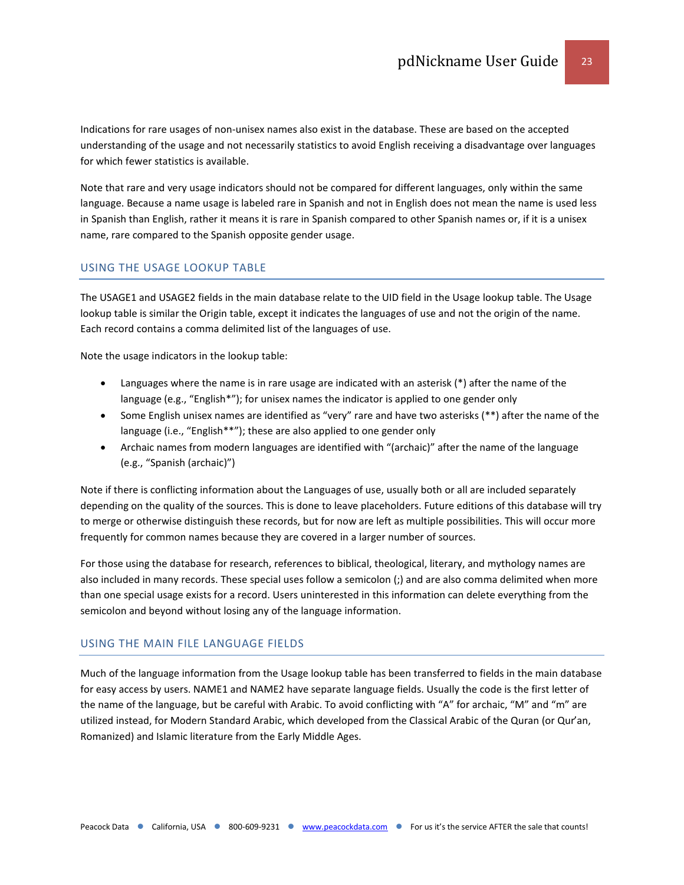Indications for rare usages of non-unisex names also exist in the database. These are based on the accepted understanding of the usage and not necessarily statistics to avoid English receiving a disadvantage over languages for which fewer statistics is available.

Note that rare and very usage indicators should not be compared for different languages, only within the same language. Because a name usage is labeled rare in Spanish and not in English does not mean the name is used less in Spanish than English, rather it means it is rare in Spanish compared to other Spanish names or, if it is a unisex name, rare compared to the Spanish opposite gender usage.

# USING THE USAGE LOOKUP TABLE

The USAGE1 and USAGE2 fields in the main database relate to the UID field in the Usage lookup table. The Usage lookup table is similar the Origin table, except it indicates the languages of use and not the origin of the name. Each record contains a comma delimited list of the languages of use.

Note the usage indicators in the lookup table:

- Languages where the name is in rare usage are indicated with an asterisk (\*) after the name of the language (e.g., "English\*"); for unisex names the indicator is applied to one gender only
- Some English unisex names are identified as "very" rare and have two asterisks (\*\*) after the name of the language (i.e., "English\*\*"); these are also applied to one gender only
- Archaic names from modern languages are identified with "(archaic)" after the name of the language (e.g., "Spanish (archaic)")

Note if there is conflicting information about the Languages of use, usually both or all are included separately depending on the quality of the sources. This is done to leave placeholders. Future editions of this database will try to merge or otherwise distinguish these records, but for now are left as multiple possibilities. This will occur more frequently for common names because they are covered in a larger number of sources.

For those using the database for research, references to biblical, theological, literary, and mythology names are also included in many records. These special uses follow a semicolon (;) and are also comma delimited when more than one special usage exists for a record. Users uninterested in this information can delete everything from the semicolon and beyond without losing any of the language information.

#### USING THE MAIN FILE LANGUAGE FIELDS

Much of the language information from the Usage lookup table has been transferred to fields in the main database for easy access by users. NAME1 and NAME2 have separate language fields. Usually the code is the first letter of the name of the language, but be careful with Arabic. To avoid conflicting with "A" for archaic, "M" and "m" are utilized instead, for Modern Standard Arabic, which developed from the Classical Arabic of the Quran (or Qur'an, Romanized) and Islamic literature from the Early Middle Ages.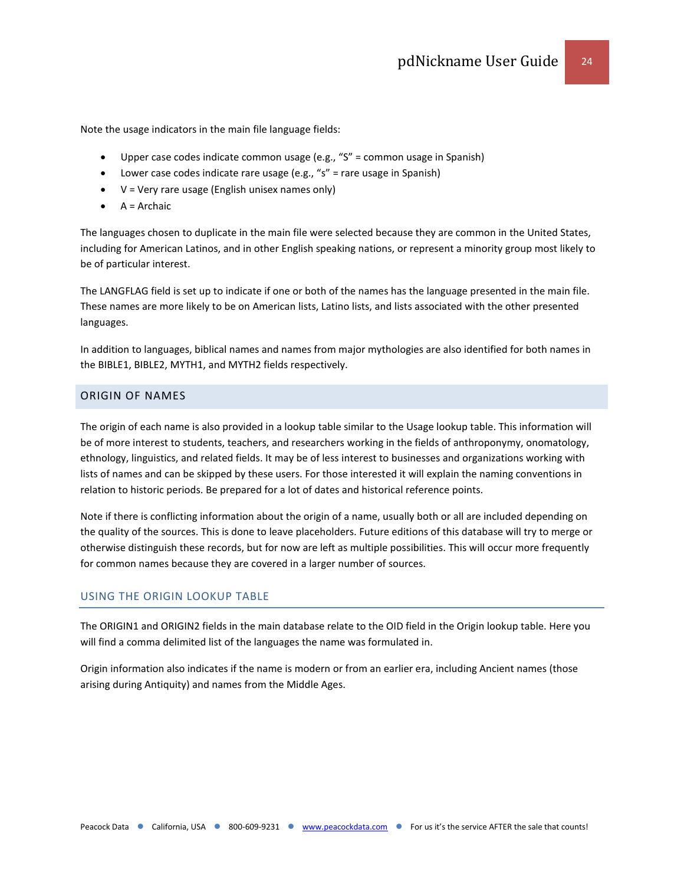Note the usage indicators in the main file language fields:

- Upper case codes indicate common usage (e.g., "S" = common usage in Spanish)
- Lower case codes indicate rare usage (e.g., "s" = rare usage in Spanish)
- V = Very rare usage (English unisex names only)
- $\bullet$  A = Archaic

The languages chosen to duplicate in the main file were selected because they are common in the United States, including for American Latinos, and in other English speaking nations, or represent a minority group most likely to be of particular interest.

The LANGFLAG field is set up to indicate if one or both of the names has the language presented in the main file. These names are more likely to be on American lists, Latino lists, and lists associated with the other presented languages.

In addition to languages, biblical names and names from major mythologies are also identified for both names in the BIBLE1, BIBLE2, MYTH1, and MYTH2 fields respectively.

# <span id="page-23-0"></span>ORIGIN OF NAMES

The origin of each name is also provided in a lookup table similar to the Usage lookup table. This information will be of more interest to students, teachers, and researchers working in the fields of anthroponymy, onomatology, ethnology, linguistics, and related fields. It may be of less interest to businesses and organizations working with lists of names and can be skipped by these users. For those interested it will explain the naming conventions in relation to historic periods. Be prepared for a lot of dates and historical reference points.

Note if there is conflicting information about the origin of a name, usually both or all are included depending on the quality of the sources. This is done to leave placeholders. Future editions of this database will try to merge or otherwise distinguish these records, but for now are left as multiple possibilities. This will occur more frequently for common names because they are covered in a larger number of sources.

# USING THE ORIGIN LOOKUP TABLE

The ORIGIN1 and ORIGIN2 fields in the main database relate to the OID field in the Origin lookup table. Here you will find a comma delimited list of the languages the name was formulated in.

Origin information also indicates if the name is modern or from an earlier era, including Ancient names (those arising during Antiquity) and names from the Middle Ages.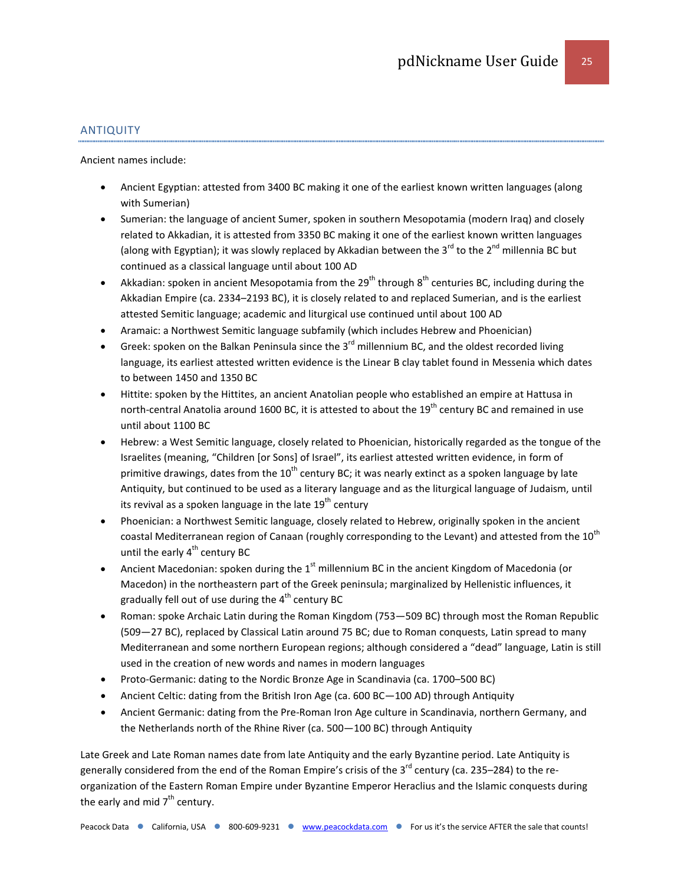## ANTIQUITY

Ancient names include:

- Ancient Egyptian: attested from 3400 BC making it one of the earliest known written languages (along with Sumerian)
- Sumerian: the language of ancient Sumer, spoken in southern Mesopotamia (modern Iraq) and closely related to Akkadian, it is attested from 3350 BC making it one of the earliest known written languages (along with Egyptian); it was slowly replaced by Akkadian between the 3 $^{\rm rd}$  to the 2 $^{\rm nd}$  millennia BC but continued as a classical language until about 100 AD
- Akkadian: spoken in ancient Mesopotamia from the 29<sup>th</sup> through 8<sup>th</sup> centuries BC, including during the Akkadian Empire (ca. 2334–2193 BC), it is closely related to and replaced Sumerian, and is the earliest attested Semitic language; academic and liturgical use continued until about 100 AD
- Aramaic: a Northwest Semitic language subfamily (which includes Hebrew and Phoenician)
- Greek: spoken on the Balkan Peninsula since the  $3^{rd}$  millennium BC, and the oldest recorded living language, its earliest attested written evidence is the Linear B clay tablet found in Messenia which dates to between 1450 and 1350 BC
- Hittite: spoken by the Hittites, an ancient Anatolian people who established an empire at Hattusa in north-central Anatolia around 1600 BC, it is attested to about the 19<sup>th</sup> century BC and remained in use until about 1100 BC
- Hebrew: a West Semitic language, closely related to Phoenician, historically regarded as the tongue of the Israelites (meaning, "Children [or Sons] of Israel", its earliest attested written evidence, in form of primitive drawings, dates from the  $10^{th}$  century BC; it was nearly extinct as a spoken language by late Antiquity, but continued to be used as a literary language and as the liturgical language of Judaism, until its revival as a spoken language in the late  $19<sup>th</sup>$  century
- Phoenician: a Northwest Semitic language, closely related to Hebrew, originally spoken in the ancient coastal Mediterranean region of Canaan (roughly corresponding to the Levant) and attested from the 10<sup>th</sup> until the early  $4^{th}$  century BC
- Ancient Macedonian: spoken during the 1<sup>st</sup> millennium BC in the ancient Kingdom of Macedonia (or Macedon) in the northeastern part of the Greek peninsula; marginalized by Hellenistic influences, it gradually fell out of use during the  $4<sup>th</sup>$  century BC
- Roman: spoke Archaic Latin during the Roman Kingdom (753—509 BC) through most the Roman Republic (509—27 BC), replaced by Classical Latin around 75 BC; due to Roman conquests, Latin spread to many Mediterranean and some northern European regions; although considered a "dead" language, Latin is still used in the creation of new words and names in modern languages
- Proto-Germanic: dating to the Nordic Bronze Age in Scandinavia (ca. 1700–500 BC)
- Ancient Celtic: dating from the British Iron Age (ca. 600 BC—100 AD) through Antiquity
- Ancient Germanic: dating from the Pre-Roman Iron Age culture in Scandinavia, northern Germany, and the Netherlands north of the Rhine River (ca. 500—100 BC) through Antiquity

Late Greek and Late Roman names date from late Antiquity and the early Byzantine period. Late Antiquity is generally considered from the end of the Roman Empire's crisis of the 3<sup>rd</sup> century (ca. 235–284) to the reorganization of the Eastern Roman Empire under Byzantine Emperor Heraclius and the Islamic conquests during the early and mid  $7<sup>th</sup>$  century.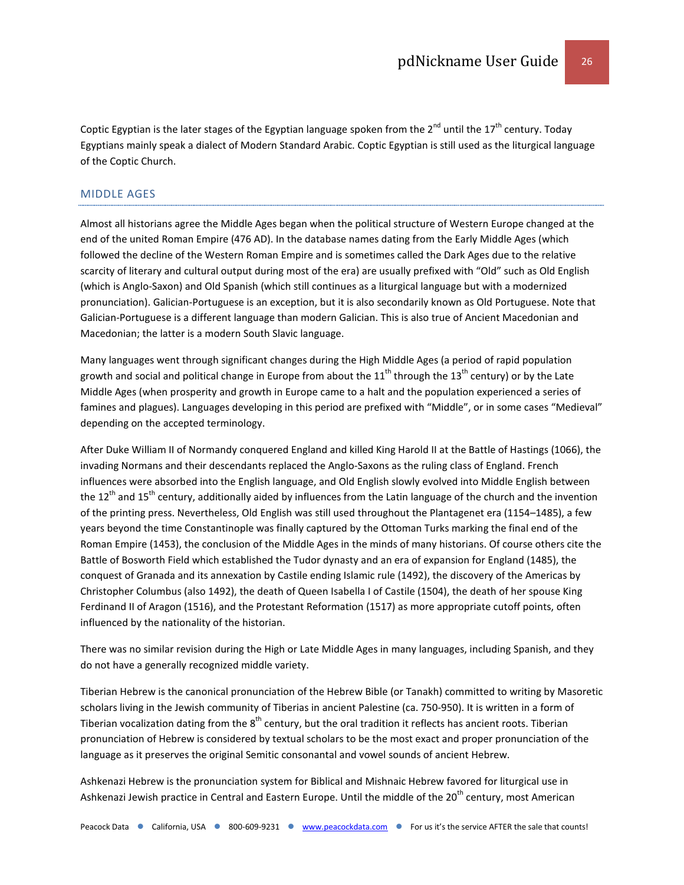Coptic Egyptian is the later stages of the Egyptian language spoken from the  $2^{nd}$  until the  $17^{th}$  century. Today Egyptians mainly speak a dialect of Modern Standard Arabic. Coptic Egyptian is still used as the liturgical language of the Coptic Church.

#### MIDDLE AGES

Almost all historians agree the Middle Ages began when the political structure of Western Europe changed at the end of the united Roman Empire (476 AD). In the database names dating from the Early Middle Ages (which followed the decline of the Western Roman Empire and is sometimes called the Dark Ages due to the relative scarcity of literary and cultural output during most of the era) are usually prefixed with "Old" such as Old English (which is Anglo-Saxon) and Old Spanish (which still continues as a liturgical language but with a modernized pronunciation). Galician-Portuguese is an exception, but it is also secondarily known as Old Portuguese. Note that Galician-Portuguese is a different language than modern Galician. This is also true of Ancient Macedonian and Macedonian; the latter is a modern South Slavic language.

Many languages went through significant changes during the High Middle Ages (a period of rapid population growth and social and political change in Europe from about the 11<sup>th</sup> through the 13<sup>th</sup> century) or by the Late Middle Ages (when prosperity and growth in Europe came to a halt and the population experienced a series of famines and plagues). Languages developing in this period are prefixed with "Middle", or in some cases "Medieval" depending on the accepted terminology.

After Duke William II of Normandy conquered England and killed King Harold II at the Battle of Hastings (1066), the invading Normans and their descendants replaced the Anglo-Saxons as the ruling class of England. French influences were absorbed into the English language, and Old English slowly evolved into Middle English between the 12<sup>th</sup> and 15<sup>th</sup> century, additionally aided by influences from the Latin language of the church and the invention of the printing press. Nevertheless, Old English was still used throughout the Plantagenet era (1154–1485), a few years beyond the time Constantinople was finally captured by the Ottoman Turks marking the final end of the Roman Empire (1453), the conclusion of the Middle Ages in the minds of many historians. Of course others cite the Battle of Bosworth Field which established the Tudor dynasty and an era of expansion for England (1485), the conquest of Granada and its annexation by Castile ending Islamic rule (1492), the discovery of the Americas by Christopher Columbus (also 1492), the death of Queen Isabella I of Castile (1504), the death of her spouse King Ferdinand II of Aragon (1516), and the Protestant Reformation (1517) as more appropriate cutoff points, often influenced by the nationality of the historian.

There was no similar revision during the High or Late Middle Ages in many languages, including Spanish, and they do not have a generally recognized middle variety.

Tiberian Hebrew is the canonical pronunciation of the Hebrew Bible (or Tanakh) committed to writing by Masoretic scholars living in the Jewish community of Tiberias in ancient Palestine (ca. 750-950). It is written in a form of Tiberian vocalization dating from the  $8<sup>th</sup>$  century, but the oral tradition it reflects has ancient roots. Tiberian pronunciation of Hebrew is considered by textual scholars to be the most exact and proper pronunciation of the language as it preserves the original Semitic consonantal and vowel sounds of ancient Hebrew.

Ashkenazi Hebrew is the pronunciation system for Biblical and Mishnaic Hebrew favored for liturgical use in Ashkenazi Jewish practice in Central and Eastern Europe. Until the middle of the 20<sup>th</sup> century, most American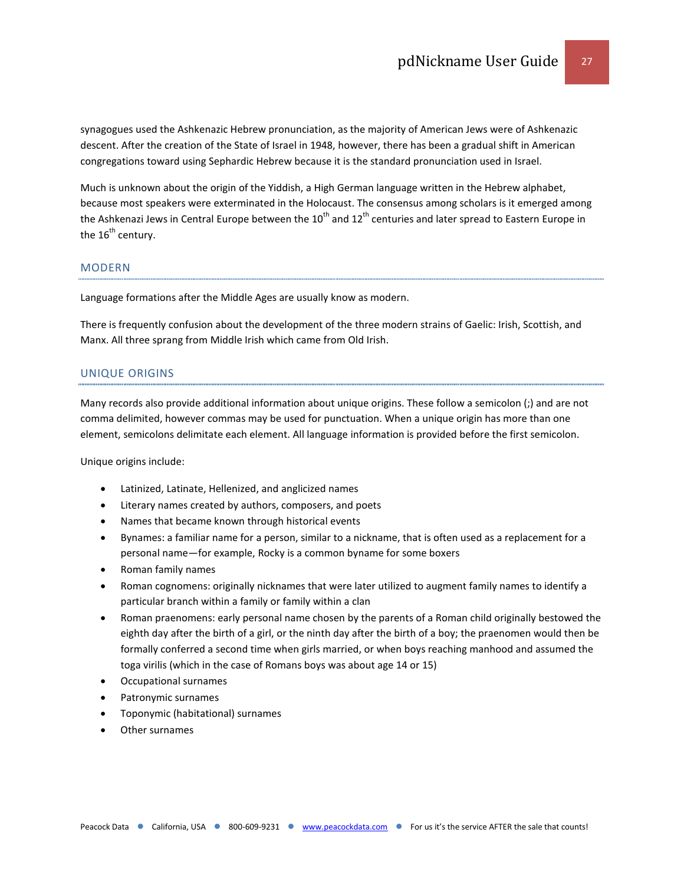synagogues used the Ashkenazic Hebrew pronunciation, as the majority of American Jews were of Ashkenazic descent. After the creation of the State of Israel in 1948, however, there has been a gradual shift in American congregations toward using Sephardic Hebrew because it is the standard pronunciation used in Israel.

Much is unknown about the origin of the Yiddish, a High German language written in the Hebrew alphabet, because most speakers were exterminated in the Holocaust. The consensus among scholars is it emerged among the Ashkenazi Jews in Central Europe between the  $10^{th}$  and  $12^{th}$  centuries and later spread to Eastern Europe in the  $16<sup>th</sup>$  century.

#### MODERN

Language formations after the Middle Ages are usually know as modern.

There is frequently confusion about the development of the three modern strains of Gaelic: Irish, Scottish, and Manx. All three sprang from Middle Irish which came from Old Irish.

#### UNIQUE ORIGINS

Many records also provide additional information about unique origins. These follow a semicolon (;) and are not comma delimited, however commas may be used for punctuation. When a unique origin has more than one element, semicolons delimitate each element. All language information is provided before the first semicolon.

Unique origins include:

- Latinized, Latinate, Hellenized, and anglicized names
- Literary names created by authors, composers, and poets
- Names that became known through historical events
- Bynames: a familiar name for a person, similar to a nickname, that is often used as a replacement for a personal name—for example, Rocky is a common byname for some boxers
- Roman family names
- Roman cognomens: originally nicknames that were later utilized to augment family names to identify a particular branch within a family or family within a clan
- Roman praenomens: early personal name chosen by the parents of a Roman child originally bestowed the eighth day after the birth of a girl, or the ninth day after the birth of a boy; the praenomen would then be formally conferred a second time when girls married, or when boys reaching manhood and assumed the toga virilis (which in the case of Romans boys was about age 14 or 15)
- Occupational surnames
- Patronymic surnames
- Toponymic (habitational) surnames
- Other surnames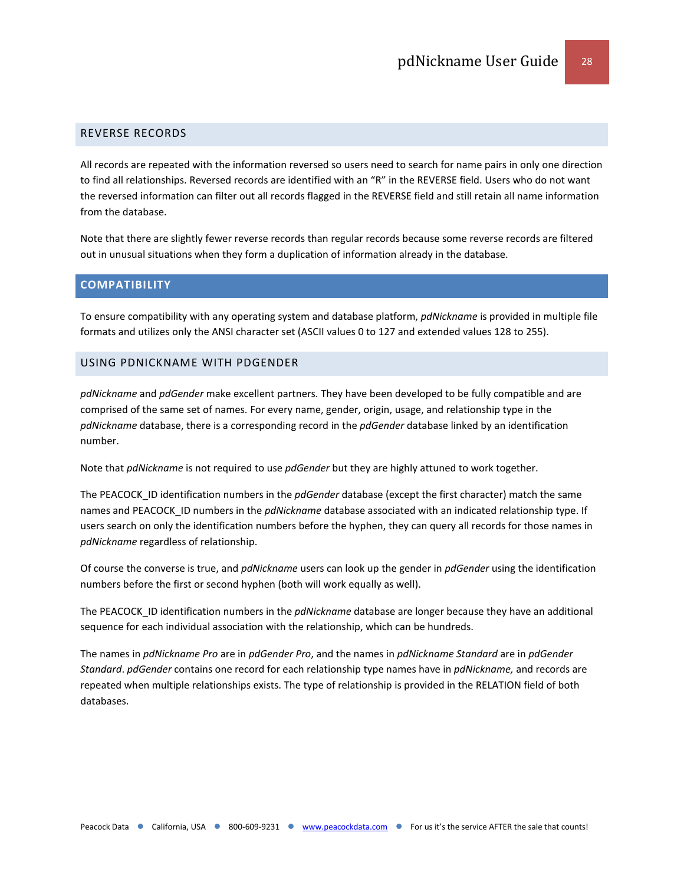# <span id="page-27-0"></span>REVERSE RECORDS

All records are repeated with the information reversed so users need to search for name pairs in only one direction to find all relationships. Reversed records are identified with an "R" in the REVERSE field. Users who do not want the reversed information can filter out all records flagged in the REVERSE field and still retain all name information from the database.

Note that there are slightly fewer reverse records than regular records because some reverse records are filtered out in unusual situations when they form a duplication of information already in the database.

#### <span id="page-27-1"></span>**COMPATIBILITY**

To ensure compatibility with any operating system and database platform, *pdNickname* is provided in multiple file formats and utilizes only the ANSI character set (ASCII values 0 to 127 and extended values 128 to 255).

#### <span id="page-27-2"></span>USING PDNICKNAME WITH PDGENDER

*pdNickname* and *pdGender* make excellent partners. They have been developed to be fully compatible and are comprised of the same set of names. For every name, gender, origin, usage, and relationship type in the *pdNickname* database, there is a corresponding record in the *pdGender* database linked by an identification number.

Note that *pdNickname* is not required to use *pdGender* but they are highly attuned to work together.

The PEACOCK\_ID identification numbers in the *pdGender* database (except the first character) match the same names and PEACOCK\_ID numbers in the *pdNickname* database associated with an indicated relationship type. If users search on only the identification numbers before the hyphen, they can query all records for those names in *pdNickname* regardless of relationship.

Of course the converse is true, and *pdNickname* users can look up the gender in *pdGender* using the identification numbers before the first or second hyphen (both will work equally as well).

The PEACOCK\_ID identification numbers in the *pdNickname* database are longer because they have an additional sequence for each individual association with the relationship, which can be hundreds.

The names in *pdNickname Pro* are in *pdGender Pro*, and the names in *pdNickname Standard* are in *pdGender Standard*. *pdGender* contains one record for each relationship type names have in *pdNickname,* and records are repeated when multiple relationships exists. The type of relationship is provided in the RELATION field of both databases.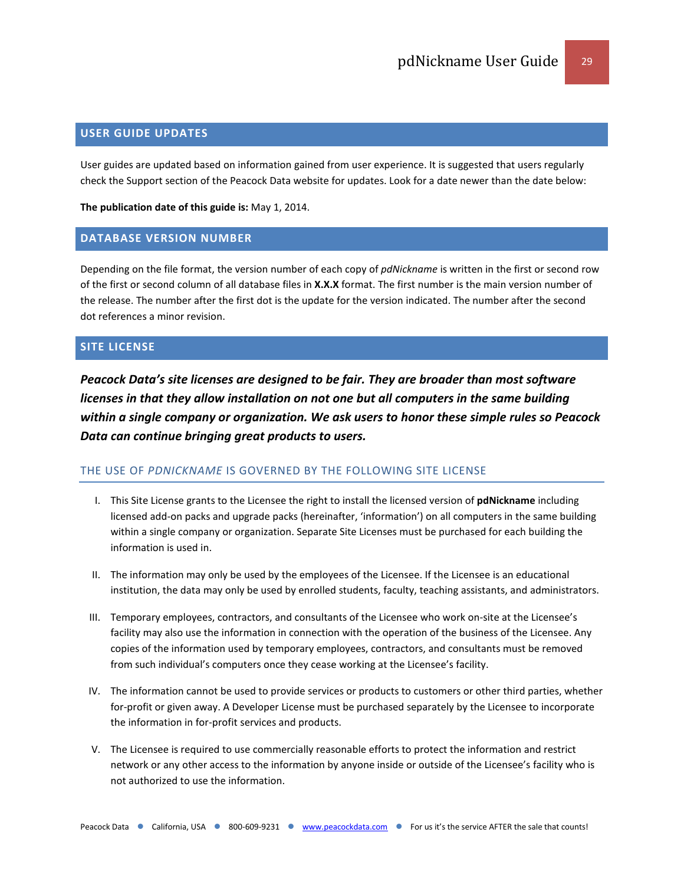## <span id="page-28-0"></span>**USER GUIDE UPDATES**

User guides are updated based on information gained from user experience. It is suggested that users regularly check the Support section of the Peacock Data website for updates. Look for a date newer than the date below:

**The publication date of this guide is:** May 1, 2014.

#### <span id="page-28-1"></span>**DATABASE VERSION NUMBER**

Depending on the file format, the version number of each copy of *pdNickname* is written in the first or second row of the first or second column of all database files in **X.X.X** format. The first number is the main version number of the release. The number after the first dot is the update for the version indicated. The number after the second dot references a minor revision.

# <span id="page-28-2"></span>**SITE LICENSE**

*Peacock Data's site licenses are designed to be fair. They are broader than most software licenses in that they allow installation on not one but all computers in the same building within a single company or organization. We ask users to honor these simple rules so Peacock Data can continue bringing great products to users.*

#### THE USE OF *PDNICKNAME* IS GOVERNED BY THE FOLLOWING SITE LICENSE

- I. This Site License grants to the Licensee the right to install the licensed version of **pdNickname** including licensed add-on packs and upgrade packs (hereinafter, 'information') on all computers in the same building within a single company or organization. Separate Site Licenses must be purchased for each building the information is used in.
- II. The information may only be used by the employees of the Licensee. If the Licensee is an educational institution, the data may only be used by enrolled students, faculty, teaching assistants, and administrators.
- III. Temporary employees, contractors, and consultants of the Licensee who work on-site at the Licensee's facility may also use the information in connection with the operation of the business of the Licensee. Any copies of the information used by temporary employees, contractors, and consultants must be removed from such individual's computers once they cease working at the Licensee's facility.
- IV. The information cannot be used to provide services or products to customers or other third parties, whether for-profit or given away. A Developer License must be purchased separately by the Licensee to incorporate the information in for-profit services and products.
- V. The Licensee is required to use commercially reasonable efforts to protect the information and restrict network or any other access to the information by anyone inside or outside of the Licensee's facility who is not authorized to use the information.